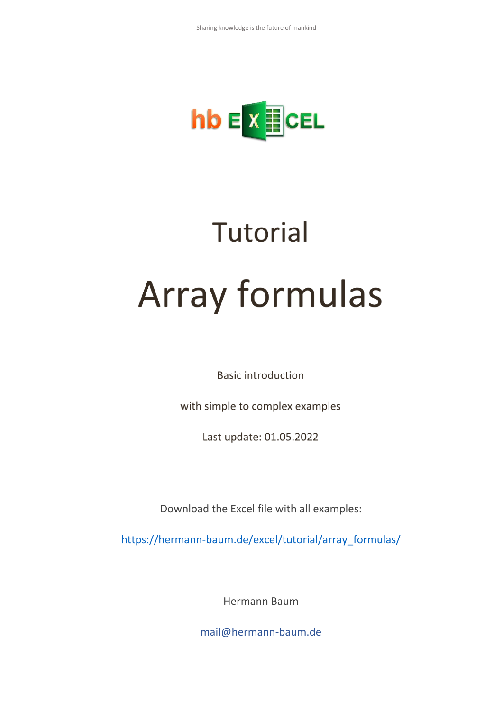

# **Tutorial Array formulas**

**Basic introduction** 

with simple to complex examples

Last update: 01.05.2022

Download the Excel file with all examples:

[https://hermann-baum.de/excel/tutorial/array\\_formulas/](https://hermann-baum.de/excel/tutorial/array_formulas/)

Hermann Baum

[mail@hermann-baum.de](mailto:mail@hermann-baum.de)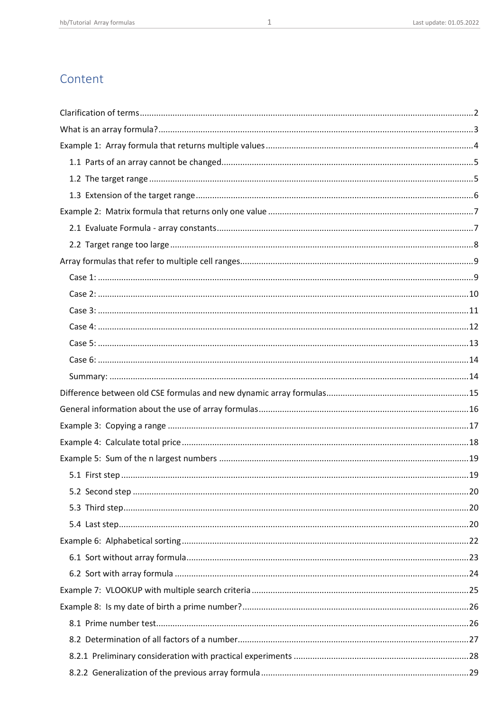## Content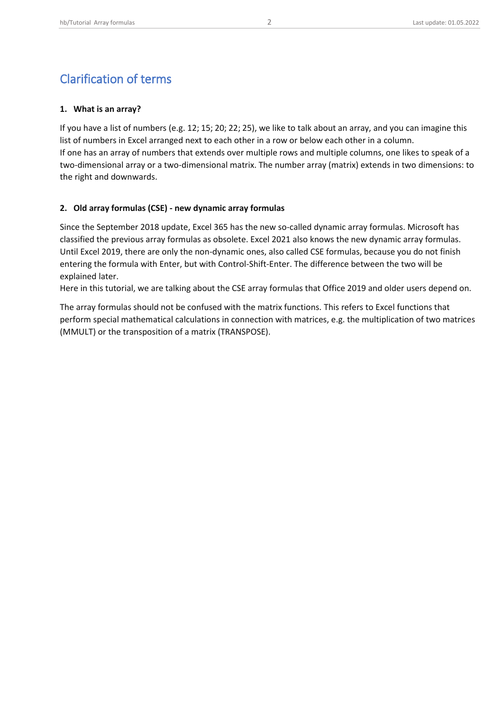## <span id="page-2-0"></span>Clarification of terms

#### **1. What is an array?**

If you have a list of numbers (e.g. 12; 15; 20; 22; 25), we like to talk about an array, and you can imagine this list of numbers in Excel arranged next to each other in a row or below each other in a column. If one has an array of numbers that extends over multiple rows and multiple columns, one likes to speak of a two-dimensional array or a two-dimensional matrix. The number array (matrix) extends in two dimensions: to the right and downwards.

#### **2. Old array formulas (CSE) - new dynamic array formulas**

Since the September 2018 update, Excel 365 has the new so-called dynamic array formulas. Microsoft has classified the previous array formulas as obsolete. Excel 2021 also knows the new dynamic array formulas. Until Excel 2019, there are only the non-dynamic ones, also called CSE formulas, because you do not finish entering the formula with Enter, but with Control-Shift-Enter. The difference between the two will be explained later.

Here in this tutorial, we are talking about the CSE array formulas that Office 2019 and older users depend on.

The array formulas should not be confused with the matrix functions. This refers to Excel functions that perform special mathematical calculations in connection with matrices, e.g. the multiplication of two matrices (MMULT) or the transposition of a matrix (TRANSPOSE).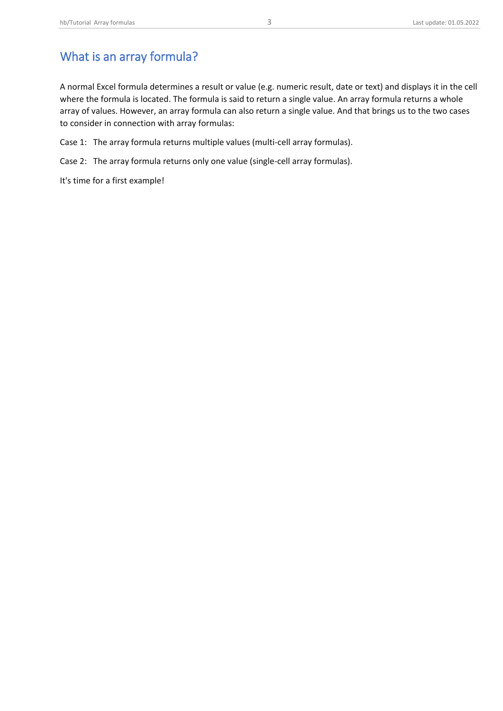# <span id="page-3-0"></span>What is an array formula?

A normal Excel formula determines a result or value (e.g. numeric result, date or text) and displays it in the cell where the formula is located. The formula is said to return a single value. An array formula returns a whole array of values. However, an array formula can also return a single value. And that brings us to the two cases to consider in connection with array formulas:

Case 1: The array formula returns multiple values (multi-cell array formulas).

Case 2: The array formula returns only one value (single-cell array formulas).

It's time for a first example!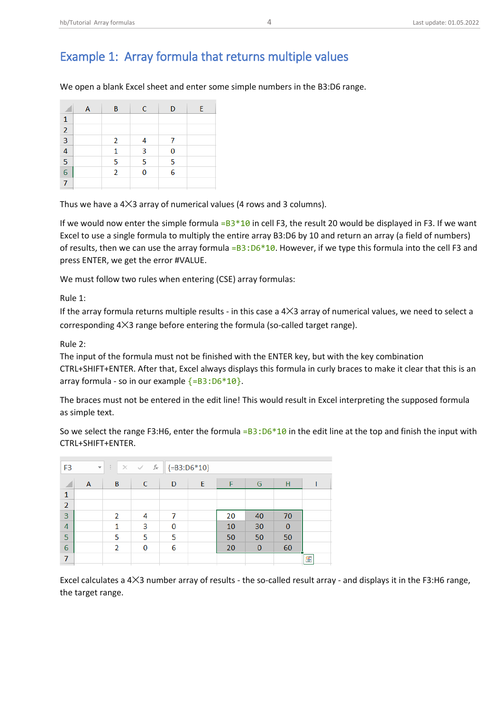# <span id="page-4-0"></span>Example 1: Array formula that returns multiple values

We open a blank Excel sheet and enter some simple numbers in the B3:D6 range.

|                         | Α | B              | C | D | E |
|-------------------------|---|----------------|---|---|---|
|                         |   |                |   |   |   |
| $\overline{2}$          |   |                |   |   |   |
| $\overline{\mathbf{3}}$ |   | $\overline{2}$ |   | 7 |   |
| $\overline{4}$          |   | 1              | 3 | 0 |   |
| $\overline{5}$          |   | 5              | 5 | 5 |   |
| $\overline{6}$          |   | $\overline{2}$ | 0 | 6 |   |
|                         |   |                |   |   |   |

Thus we have a  $4\times3$  array of numerical values (4 rows and 3 columns).

If we would now enter the simple formula  $=B3*10$  in cell F3, the result 20 would be displayed in F3. If we want Excel to use a single formula to multiply the entire array B3:D6 by 10 and return an array (a field of numbers) of results, then we can use the array formula = $B3:D6*10$ . However, if we type this formula into the cell F3 and press ENTER, we get the error #VALUE.

We must follow two rules when entering (CSE) array formulas:

Rule 1:

If the array formula returns multiple results - in this case a  $4×3$  array of numerical values, we need to select a corresponding 4✕3 range before entering the formula (so-called target range).

#### Rule 2:

The input of the formula must not be finished with the ENTER key, but with the key combination CTRL+SHIFT+ENTER. After that, Excel always displays this formula in curly braces to make it clear that this is an array formula - so in our example  $\{=\mathsf{B3: D6*10}\}.$ 

The braces must not be entered in the edit line! This would result in Excel interpreting the supposed formula as simple text.

So we select the range F3:H6, enter the formula = $B3:D6*10$  in the edit line at the top and finish the input with CTRL+SHIFT+ENTER.

| F <sub>3</sub> | $\overline{\phantom{a}}$ | ÷                        | fx<br>$\times$ $\checkmark$ |          | ${=}B3:D6*10$ |    |          |              |   |
|----------------|--------------------------|--------------------------|-----------------------------|----------|---------------|----|----------|--------------|---|
| ◢              | A                        | B                        | C                           | D        | E             |    | G        | Н            |   |
| $\mathbf{1}$   |                          |                          |                             |          |               |    |          |              |   |
| 2              |                          |                          |                             |          |               |    |          |              |   |
| 3              |                          | $\overline{\phantom{a}}$ | 4                           | 7        |               | 20 | 40       | 70           |   |
| $\overline{4}$ |                          | 1                        | 3                           | $\bf{0}$ |               | 10 | 30       | $\mathbf{0}$ |   |
| 5              |                          | 5                        | 5                           | 5        |               | 50 | 50       | 50           |   |
| 6              |                          | $\overline{2}$           | $\mathbf 0$                 | 6        |               | 20 | $\bf{0}$ | 60           |   |
| 7              |                          |                          |                             |          |               |    |          |              | 皙 |

Excel calculates a 4✕3 number array of results - the so-called result array - and displays it in the F3:H6 range, the target range.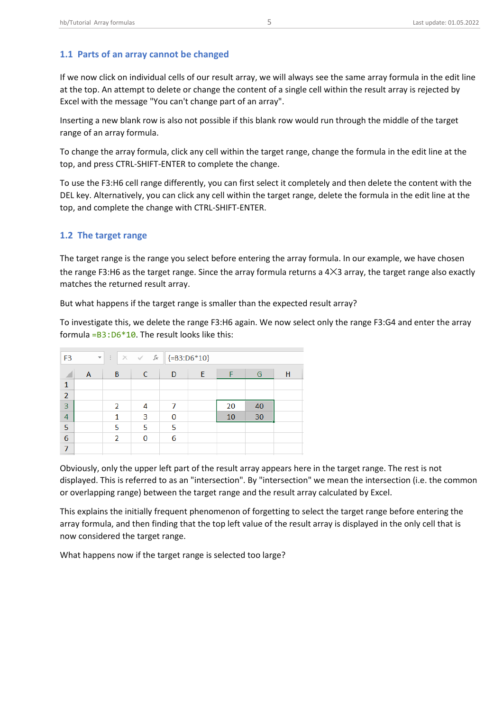<span id="page-5-0"></span>If we now click on individual cells of our result array, we will always see the same array formula in the edit line at the top. An attempt to delete or change the content of a single cell within the result array is rejected by Excel with the message "You can't change part of an array".

Inserting a new blank row is also not possible if this blank row would run through the middle of the target range of an array formula.

To change the array formula, click any cell within the target range, change the formula in the edit line at the top, and press CTRL-SHIFT-ENTER to complete the change.

To use the F3:H6 cell range differently, you can first select it completely and then delete the content with the DEL key. Alternatively, you can click any cell within the target range, delete the formula in the edit line at the top, and complete the change with CTRL-SHIFT-ENTER.

## <span id="page-5-1"></span>**1.2 The target range**

The target range is the range you select before entering the array formula. In our example, we have chosen the range F3:H6 as the target range. Since the array formula returns a 4✕3 array, the target range also exactly matches the returned result array.

But what happens if the target range is smaller than the expected result array?

To investigate this, we delete the range F3:H6 again. We now select only the range F3:G4 and enter the array formula = $B3:D6*10$ . The result looks like this:

| F <sub>3</sub> | $\overline{\mathbf{v}}$ | ÷                        | $\times$ $\hspace{0.1cm}$ $\hspace{0.1cm}\hspace{0.1cm}\mathcal{N}$ $\hspace{0.1cm}$ $\hspace{0.1cm}$ $\hspace{0.1cm}$ $\hspace{0.1cm}$ $\hspace{0.1cm}$ $\hspace{0.1cm}$ $\hspace{0.1cm}$ $\hspace{0.1cm}$ $\hspace{0.1cm}$ $\hspace{0.1cm}$ $\hspace{0.1cm}$ |   | ${=}B3:D6*10$ |    |    |   |
|----------------|-------------------------|--------------------------|----------------------------------------------------------------------------------------------------------------------------------------------------------------------------------------------------------------------------------------------------------------|---|---------------|----|----|---|
|                | A                       | B                        | C                                                                                                                                                                                                                                                              | D | E             |    | G  | н |
| $\mathbf{1}$   |                         |                          |                                                                                                                                                                                                                                                                |   |               |    |    |   |
| $\overline{2}$ |                         |                          |                                                                                                                                                                                                                                                                |   |               |    |    |   |
| 3              |                         | $\overline{\phantom{a}}$ | 4                                                                                                                                                                                                                                                              | 7 |               | 20 | 40 |   |
| 4              |                         |                          | 3                                                                                                                                                                                                                                                              | 0 |               | 10 | 30 |   |
| 5              |                         | 5                        | 5                                                                                                                                                                                                                                                              | 5 |               |    |    |   |
| 6              |                         | $\overline{2}$           | 0                                                                                                                                                                                                                                                              | 6 |               |    |    |   |
| $\overline{7}$ |                         |                          |                                                                                                                                                                                                                                                                |   |               |    |    |   |

Obviously, only the upper left part of the result array appears here in the target range. The rest is not displayed. This is referred to as an "intersection". By "intersection" we mean the intersection (i.e. the common or overlapping range) between the target range and the result array calculated by Excel.

This explains the initially frequent phenomenon of forgetting to select the target range before entering the array formula, and then finding that the top left value of the result array is displayed in the only cell that is now considered the target range.

What happens now if the target range is selected too large?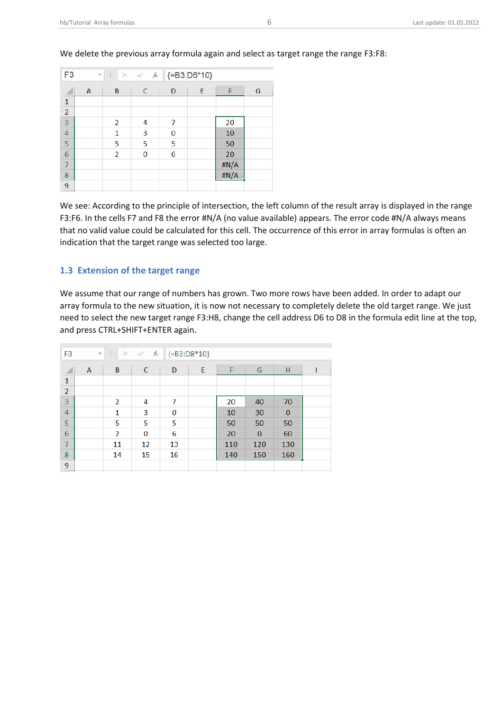| F <sub>3</sub> | $\overline{\phantom{a}}$ | ÷.             | $\times$ $\checkmark$ fx |   | ${=}B3:DB*10$ |      |   |
|----------------|--------------------------|----------------|--------------------------|---|---------------|------|---|
|                | А                        | B              | C                        | D | E             | F    | G |
| $\mathbf{1}$   |                          |                |                          |   |               |      |   |
| $\overline{2}$ |                          |                |                          |   |               |      |   |
| $\overline{3}$ |                          | 2              | 4                        | 7 |               | 20   |   |
| $\overline{4}$ |                          | 1              | 3                        | 0 |               | 10   |   |
| 5              |                          | 5              | 5                        | 5 |               | 50   |   |
| $\overline{6}$ |                          | $\overline{2}$ | 0                        | 6 |               | 20   |   |
| $\overline{7}$ |                          |                |                          |   |               | #N/A |   |
| 8              |                          |                |                          |   |               | #N/A |   |
| 9              |                          |                |                          |   |               |      |   |

#### We delete the previous array formula again and select as target range the range F3:F8:

We see: According to the principle of intersection, the left column of the result array is displayed in the range F3:F6. In the cells F7 and F8 the error #N/A (no value available) appears. The error code #N/A always means that no valid value could be calculated for this cell. The occurrence of this error in array formulas is often an indication that the target range was selected too large.

#### <span id="page-6-0"></span>**1.3 Extension of the target range**

We assume that our range of numbers has grown. Two more rows have been added. In order to adapt our array formula to the new situation, it is now not necessary to completely delete the old target range. We just need to select the new target range F3:H8, change the cell address D6 to D8 in the formula edit line at the top, and press CTRL+SHIFT+ENTER again.

| F <sub>3</sub> | $\overline{\phantom{a}}$ | ÷<br>$\times$ | fx<br>$\checkmark$ |    | ${=}B3:DB*10$ |     |                |          |  |
|----------------|--------------------------|---------------|--------------------|----|---------------|-----|----------------|----------|--|
| ◢              | A                        | B             | C                  | D  | E             | F   | G              | Н        |  |
| $\mathbf{1}$   |                          |               |                    |    |               |     |                |          |  |
| $\overline{2}$ |                          |               |                    |    |               |     |                |          |  |
| 3              |                          | 2             | 4                  | 7  |               | 20  | 40             | 70       |  |
| 4              |                          | 1             | 3                  | 0  |               | 10  | 30             | $\bf{0}$ |  |
| 5              |                          | 5             | 5                  | 5  |               | 50  | 50             | 50       |  |
| 6              |                          | 2             | 0                  | 6  |               | 20  | $\overline{0}$ | 60       |  |
| $\overline{7}$ |                          | 11            | 12                 | 13 |               | 110 | 120            | 130      |  |
| 8              |                          | 14            | 15                 | 16 |               | 140 | 150            | 160      |  |
| 9              |                          |               |                    |    |               |     |                |          |  |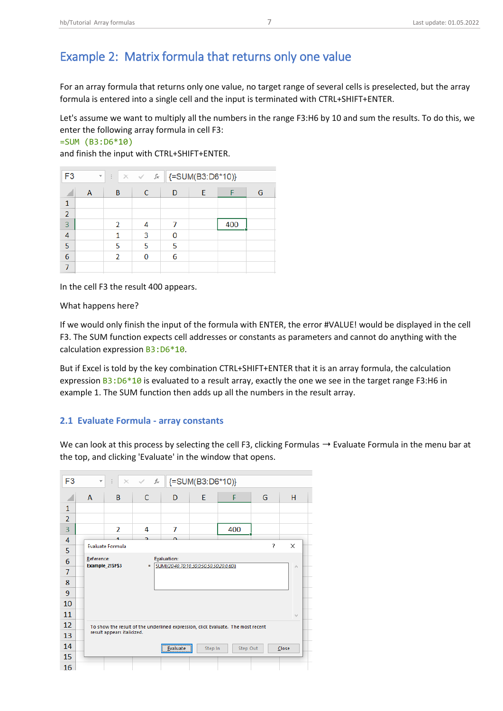# <span id="page-7-0"></span>Example 2: Matrix formula that returns only one value

For an array formula that returns only one value, no target range of several cells is preselected, but the array formula is entered into a single cell and the input is terminated with CTRL+SHIFT+ENTER.

Let's assume we want to multiply all the numbers in the range F3:H6 by 10 and sum the results. To do this, we enter the following array formula in cell F3:

```
=SUM (B3:D6*10)
```
and finish the input with CTRL+SHIFT+ENTER.

| $\overline{\phantom{a}}$ | ÷              |   |   |                          |     |                  |
|--------------------------|----------------|---|---|--------------------------|-----|------------------|
| А                        | В              | C | D | E                        |     | G                |
|                          |                |   |   |                          |     |                  |
|                          |                |   |   |                          |     |                  |
|                          | $\overline{2}$ | 4 |   |                          | 400 |                  |
|                          |                | 3 | 0 |                          |     |                  |
|                          | 5              | 5 | 5 |                          |     |                  |
|                          | $\overline{2}$ |   | 6 |                          |     |                  |
|                          |                |   |   |                          |     |                  |
| F <sub>3</sub>           |                |   |   | $\times$ $\checkmark$ fx |     | {=SUM(B3:D6*10)} |

In the cell F3 the result 400 appears.

What happens here?

If we would only finish the input of the formula with ENTER, the error #VALUE! would be displayed in the cell F3. The SUM function expects cell addresses or constants as parameters and cannot do anything with the calculation expression B3:D6\*10.

But if Excel is told by the key combination CTRL+SHIFT+ENTER that it is an array formula, the calculation expression  $B3:D6*10$  is evaluated to a result array, exactly the one we see in the target range F3:H6 in example 1. The SUM function then adds up all the numbers in the result array.

#### <span id="page-7-1"></span>**2.1 Evaluate Formula - array constants**

We can look at this process by selecting the cell F3, clicking Formulas  $\rightarrow$  Evaluate Formula in the menu bar at the top, and clicking 'Evaluate' in the window that opens.

| F <sub>3</sub> | $\overline{\phantom{a}}$ | ÷                          | $f_{\rm sc}$<br>$\times$ $\checkmark$ |                                          | {=SUM(B3:D6*10)} |                                                                                  |   |                 |
|----------------|--------------------------|----------------------------|---------------------------------------|------------------------------------------|------------------|----------------------------------------------------------------------------------|---|-----------------|
|                | A                        | B                          | C                                     | D                                        | E                | F                                                                                | G | H               |
| $\mathbf{1}$   |                          |                            |                                       |                                          |                  |                                                                                  |   |                 |
| $\overline{2}$ |                          |                            |                                       |                                          |                  |                                                                                  |   |                 |
| 3              |                          | $\overline{2}$             | 4                                     | 7                                        |                  | 400                                                                              |   |                 |
| 4              |                          |                            | o                                     |                                          |                  |                                                                                  |   |                 |
| 5              |                          | <b>Evaluate Formula</b>    |                                       |                                          |                  |                                                                                  | ? | ×               |
| $\sqrt{6}$     | Reference:               |                            |                                       | <b>Evaluation:</b>                       |                  |                                                                                  |   |                 |
| $\overline{7}$ |                          | Example_2!\$F\$3           | $=$                                   | SUM(/20,40,70;10,30,0;50,50,50;20,0,60}) |                  |                                                                                  |   | $\mathcal{O}_1$ |
| 8              |                          |                            |                                       |                                          |                  |                                                                                  |   |                 |
| 9              |                          |                            |                                       |                                          |                  |                                                                                  |   |                 |
| 10             |                          |                            |                                       |                                          |                  |                                                                                  |   |                 |
| 11             |                          |                            |                                       |                                          |                  |                                                                                  |   | $\lambda \rho$  |
| 12             |                          |                            |                                       |                                          |                  | To show the result of the underlined expression, click Evaluate. The most recent |   |                 |
| 13             |                          | result appears italicized. |                                       |                                          |                  |                                                                                  |   |                 |
| 14             |                          |                            |                                       | <b>Evaluate</b>                          | Step In          | Step Out                                                                         |   | Close           |
| 15             |                          |                            |                                       |                                          |                  |                                                                                  |   |                 |
| 16             |                          |                            |                                       |                                          |                  |                                                                                  |   |                 |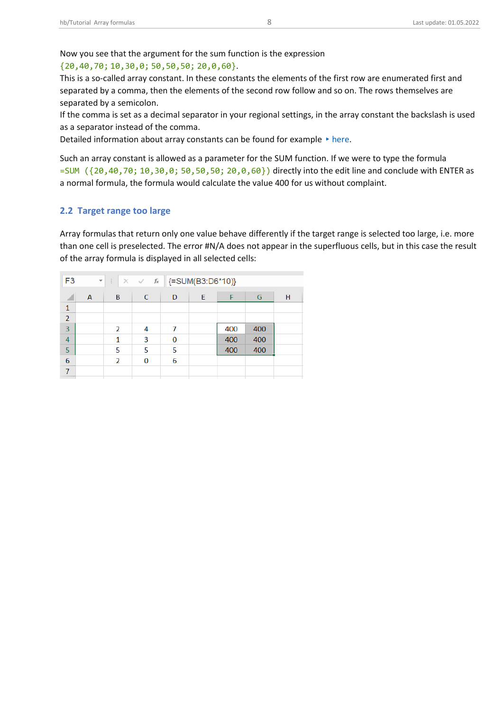Now you see that the argument for the sum function is the expression

#### {20,40,70; 10,30,0; 50,50,50; 20,0,60}.

This is a so-called array constant. In these constants the elements of the first row are enumerated first and separated by a comma, then the elements of the second row follow and so on. The rows themselves are separated by a semicolon.

If the comma is set as a decimal separator in your regional settings, in the array constant the backslash is used as a separator instead of the comma.

Detailed information about array constants can be found for example  $\rightarrow$  [here.](https://support.microsoft.com/en-us/office/use-array-constants-in-array-formulas-477443ea-5e71-4242-877d-fcae47454eb8)

Such an array constant is allowed as a parameter for the SUM function. If we were to type the formula =SUM ({20,40,70; 10,30,0; 50,50,50; 20,0,60}) directly into the edit line and conclude with ENTER as a normal formula, the formula would calculate the value 400 for us without complaint.

#### <span id="page-8-0"></span>**2.2 Target range too large**

Array formulas that return only one value behave differently if the target range is selected too large, i.e. more than one cell is preselected. The error #N/A does not appear in the superfluous cells, but in this case the result of the array formula is displayed in all selected cells:

| F <sub>3</sub> | $\overline{\mathbf{v}}$ | ÷                        | $\times$ $\checkmark$ fx |   | {=SUM(B3:D6*10)} |     |     |   |
|----------------|-------------------------|--------------------------|--------------------------|---|------------------|-----|-----|---|
|                | A                       | B                        | C                        | D | E                |     | G   | н |
| $\mathbf{1}$   |                         |                          |                          |   |                  |     |     |   |
| $\overline{2}$ |                         |                          |                          |   |                  |     |     |   |
| 3              |                         | 2                        | 4                        | 7 |                  | 400 | 400 |   |
| 4              |                         | 1                        | 3                        | 0 |                  | 400 | 400 |   |
| 5              |                         | 5                        | 5                        | 5 |                  | 400 | 400 |   |
| 6              |                         | $\overline{\phantom{a}}$ | 0                        | 6 |                  |     |     |   |
| 7              |                         |                          |                          |   |                  |     |     |   |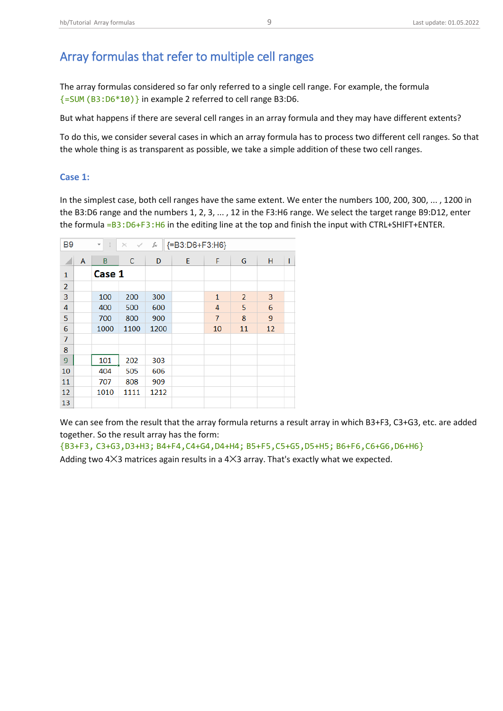# <span id="page-9-0"></span>Array formulas that refer to multiple cell ranges

The array formulas considered so far only referred to a single cell range. For example, the formula {=SUM (B3:D6\*10)} in example 2 referred to cell range B3:D6.

But what happens if there are several cell ranges in an array formula and they may have different extents?

To do this, we consider several cases in which an array formula has to process two different cell ranges. So that the whole thing is as transparent as possible, we take a simple addition of these two cell ranges.

## <span id="page-9-1"></span>**Case 1:**

In the simplest case, both cell ranges have the same extent. We enter the numbers 100, 200, 300, ... , 1200 in the B3:D6 range and the numbers 1, 2, 3, ... , 12 in the F3:H6 range. We select the target range B9:D12, enter the formula =B3:D6+F3:H6 in the editing line at the top and finish the input with CTRL+SHIFT+ENTER.

| B <sub>9</sub> |   | ÷<br>$\overline{\mathbf{v}}$ | $\times$<br>$\checkmark$ | fx   | {=B3:D6+F3:H6} |                |                |    |   |
|----------------|---|------------------------------|--------------------------|------|----------------|----------------|----------------|----|---|
| ◢              | A | B                            | C                        | D    | E              | F              | G              | н  | I |
| $\mathbf{1}$   |   | Case 1                       |                          |      |                |                |                |    |   |
| $\overline{2}$ |   |                              |                          |      |                |                |                |    |   |
| 3              |   | 100                          | 200                      | 300  |                | $\mathbf{1}$   | $\overline{2}$ | 3  |   |
| 4              |   | 400                          | 500                      | 600  |                | 4              | 5              | 6  |   |
| 5              |   | 700                          | 800                      | 900  |                | $\overline{7}$ | 8              | 9  |   |
| $\sqrt{6}$     |   | 1000                         | 1100                     | 1200 |                | 10             | 11             | 12 |   |
| $\overline{7}$ |   |                              |                          |      |                |                |                |    |   |
| 8              |   |                              |                          |      |                |                |                |    |   |
| 9              |   | 101                          | 202                      | 303  |                |                |                |    |   |
| 10             |   | 404                          | 505                      | 606  |                |                |                |    |   |
| 11             |   | 707                          | 808                      | 909  |                |                |                |    |   |
| 12             |   | 1010                         | 1111                     | 1212 |                |                |                |    |   |
| 13             |   |                              |                          |      |                |                |                |    |   |

We can see from the result that the array formula returns a result array in which B3+F3, C3+G3, etc. are added together. So the result array has the form:

{B3+F3, C3+G3,D3+H3; B4+F4,C4+G4,D4+H4; B5+F5,C5+G5,D5+H5; B6+F6,C6+G6,D6+H6}

Adding two  $4\times3$  matrices again results in a  $4\times3$  array. That's exactly what we expected.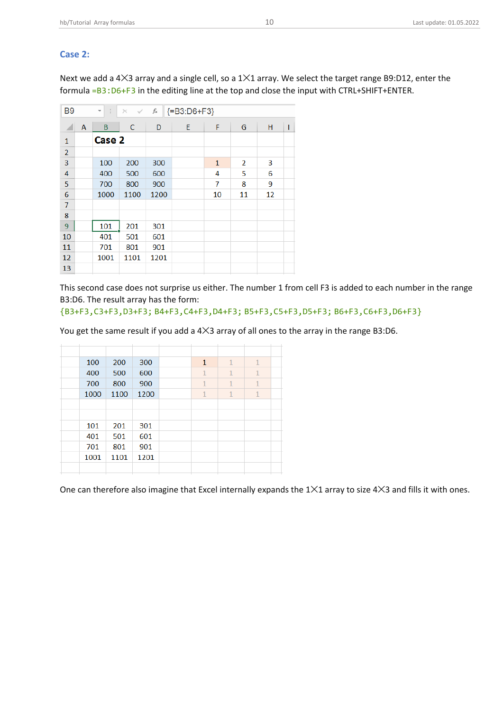## <span id="page-10-0"></span>**Case 2:**

Next we add a 4✕3 array and a single cell, so a 1✕1 array. We select the target range B9:D12, enter the formula =B3:D6+F3 in the editing line at the top and close the input with CTRL+SHIFT+ENTER.

| B <sub>9</sub> |   | î.<br>$\overline{\phantom{a}}$ | $\times$ $\sqrt{}$ | fx   | ${=}B3:D6+F3$ |    |    |    |   |
|----------------|---|--------------------------------|--------------------|------|---------------|----|----|----|---|
| ×              | A | B                              | C                  | D    | E             | F  | G  | н  | I |
| $\mathbf{1}$   |   | Case 2                         |                    |      |               |    |    |    |   |
| $\overline{2}$ |   |                                |                    |      |               |    |    |    |   |
| 3              |   | 100                            | 200                | 300  |               | 1  | 2  | 3  |   |
| 4              |   | 400                            | 500                | 600  |               | 4  | 5  | 6  |   |
| 5              |   | 700                            | 800                | 900  |               | 7  | 8  | 9  |   |
| 6              |   | 1000                           | 1100               | 1200 |               | 10 | 11 | 12 |   |
| $\overline{7}$ |   |                                |                    |      |               |    |    |    |   |
| 8              |   |                                |                    |      |               |    |    |    |   |
| 9              |   | 101                            | 201                | 301  |               |    |    |    |   |
| 10             |   | 401                            | 501                | 601  |               |    |    |    |   |
| 11             |   | 701                            | 801                | 901  |               |    |    |    |   |
| 12             |   | 1001                           | 1101               | 1201 |               |    |    |    |   |
| 13             |   |                                |                    |      |               |    |    |    |   |

This second case does not surprise us either. The number 1 from cell F3 is added to each number in the range B3:D6. The result array has the form:

{B3+F3,C3+F3,D3+F3; B4+F3,C4+F3,D4+F3; B5+F3,C5+F3,D5+F3; B6+F3,C6+F3,D6+F3}

You get the same result if you add a 4×3 array of all ones to the array in the range B3:D6.

|  | 100  | 200  | 300  | $\mathbf{1}$ | $\mathbf{1}$ | $\mathbf{1}$ |  |
|--|------|------|------|--------------|--------------|--------------|--|
|  | 400  | 500  | 600  | $\mathbf{1}$ | $\mathbf{1}$ | $\mathbf{1}$ |  |
|  | 700  | 800  | 900  | $\mathbf{1}$ | $\mathbf{1}$ | $\mathbf{1}$ |  |
|  | 1000 | 1100 | 1200 | $\mathbf{1}$ | $\mathbf{1}$ | $\mathbf{1}$ |  |
|  |      |      |      |              |              |              |  |
|  |      |      |      |              |              |              |  |
|  | 101  | 201  | 301  |              |              |              |  |
|  | 401  | 501  | 601  |              |              |              |  |
|  | 701  | 801  | 901  |              |              |              |  |
|  | 1001 | 1101 | 1201 |              |              |              |  |
|  |      |      |      |              |              |              |  |
|  |      |      |      |              |              |              |  |

One can therefore also imagine that Excel internally expands the 1×1 array to size 4×3 and fills it with ones.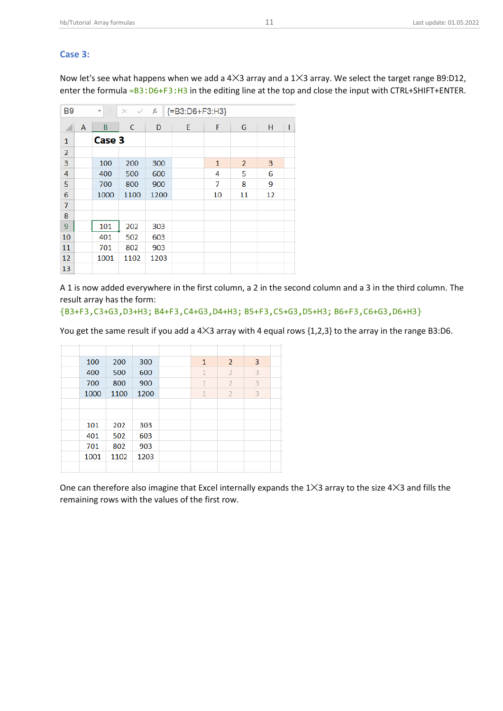#### <span id="page-11-0"></span>**Case 3:**

Now let's see what happens when we add a 4✕3 array and a 1✕3 array. We select the target range B9:D12, enter the formula =B3:D6+F3:H3 in the editing line at the top and close the input with CTRL+SHIFT+ENTER.

| <b>B9</b>      |   | ÷<br>$\overline{\phantom{a}}$ | $\times$ $\checkmark$ | fx   | {=B3:D6+F3:H3} |              |                |    |   |
|----------------|---|-------------------------------|-----------------------|------|----------------|--------------|----------------|----|---|
| z.             | A | B                             | C                     | D    | E              | F            | G              | н  | I |
| $\mathbf{1}$   |   | Case 3                        |                       |      |                |              |                |    |   |
| $\overline{2}$ |   |                               |                       |      |                |              |                |    |   |
| 3              |   | 100                           | 200                   | 300  |                | $\mathbf{1}$ | $\overline{2}$ | 3  |   |
| 4              |   | 400                           | 500                   | 600  |                | 4            | 5              | 6  |   |
| 5              |   | 700                           | 800                   | 900  |                | 7            | 8              | 9  |   |
| 6              |   | 1000                          | 1100                  | 1200 |                | 10           | 11             | 12 |   |
| $\overline{7}$ |   |                               |                       |      |                |              |                |    |   |
| 8              |   |                               |                       |      |                |              |                |    |   |
| 9              |   | 101                           | 202                   | 303  |                |              |                |    |   |
| 10             |   | 401                           | 502                   | 603  |                |              |                |    |   |
| 11             |   | 701                           | 802                   | 903  |                |              |                |    |   |
| 12             |   | 1001                          | 1102                  | 1203 |                |              |                |    |   |
| 13             |   |                               |                       |      |                |              |                |    |   |

A 1 is now added everywhere in the first column, a 2 in the second column and a 3 in the third column. The result array has the form:

{B3+F3,C3+G3,D3+H3; B4+F3,C4+G3,D4+H3; B5+F3,C5+G3,D5+H3; B6+F3,C6+G3,D6+H3}

You get the same result if you add a 4 23 array with 4 equal rows {1,2,3} to the array in the range B3:D6.

|  | 100  | 200  | 300  | $\mathbf{1}$ | $\overline{2}$ | 3 |  |
|--|------|------|------|--------------|----------------|---|--|
|  | 400  | 500  | 600  | $\mathbf{1}$ | $\overline{2}$ | 3 |  |
|  | 700  | 800  | 900  | $\mathbf{1}$ | $\overline{2}$ | 3 |  |
|  | 1000 | 1100 | 1200 | $\mathbf{1}$ | $\overline{2}$ | 3 |  |
|  |      |      |      |              |                |   |  |
|  |      |      |      |              |                |   |  |
|  | 101  | 202  | 303  |              |                |   |  |
|  | 401  | 502  | 603  |              |                |   |  |
|  | 701  | 802  | 903  |              |                |   |  |
|  | 1001 | 1102 | 1203 |              |                |   |  |
|  |      |      |      |              |                |   |  |
|  |      |      |      |              |                |   |  |

One can therefore also imagine that Excel internally expands the 1 $\times$ 3 array to the size 4 $\times$ 3 and fills the remaining rows with the values of the first row.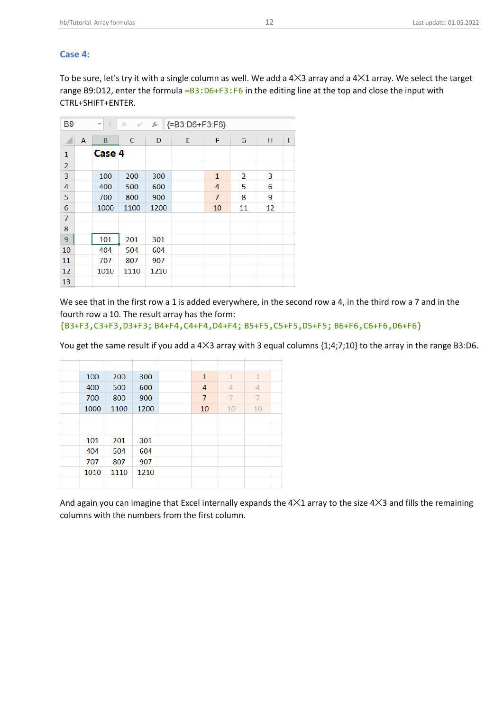#### <span id="page-12-0"></span>**Case 4:**

To be sure, let's try it with a single column as well. We add a 4✕3 array and a 4✕1 array. We select the target range B9:D12, enter the formula =B3:D6+F3:F6 in the editing line at the top and close the input with CTRL+SHIFT+ENTER.

| B <sub>9</sub> |   | ÷<br>$\overline{\mathbf{v}}$ | $\times$<br>$\checkmark$ | fx   | ${=}B3:DB + F3: F6$ |                |    |    |   |
|----------------|---|------------------------------|--------------------------|------|---------------------|----------------|----|----|---|
|                | A | B                            | $\mathsf{C}$             | D    | E                   | F              | G  | н  | ı |
| $\mathbf{1}$   |   | Case 4                       |                          |      |                     |                |    |    |   |
| $\overline{2}$ |   |                              |                          |      |                     |                |    |    |   |
| 3              |   | 100                          | 200                      | 300  |                     | $\mathbf{1}$   | 2  | 3  |   |
| 4              |   | 400                          | 500                      | 600  |                     | 4              | 5  | 6  |   |
| 5              |   | 700                          | 800                      | 900  |                     | $\overline{7}$ | 8  | 9  |   |
| 6              |   | 1000                         | 1100                     | 1200 |                     | 10             | 11 | 12 |   |
| $\overline{7}$ |   |                              |                          |      |                     |                |    |    |   |
| 8              |   |                              |                          |      |                     |                |    |    |   |
| 9              |   | 101                          | 201                      | 301  |                     |                |    |    |   |
| 10             |   | 404                          | 504                      | 604  |                     |                |    |    |   |
| 11             |   | 707                          | 807                      | 907  |                     |                |    |    |   |
| 12             |   | 1010                         | 1110                     | 1210 |                     |                |    |    |   |
| 13             |   |                              |                          |      |                     |                |    |    |   |

We see that in the first row a 1 is added everywhere, in the second row a 4, in the third row a 7 and in the fourth row a 10. The result array has the form:

{B3+F3,C3+F3,D3+F3; B4+F4,C4+F4,D4+F4; B5+F5,C5+F5,D5+F5; B6+F6,C6+F6,D6+F6}

You get the same result if you add a 4 3 array with 3 equal columns {1;4;7;10} to the array in the range B3:D6.

| 100  | 200  | 300  | $\mathbf{1}$ | $\mathbf{1}$   | $\mathbf{1}$ |  |
|------|------|------|--------------|----------------|--------------|--|
| 400  | 500  | 600  | 4            | $\overline{4}$ | 4            |  |
| 700  | 800  | 900  | 7            | 7              | 7            |  |
| 1000 | 1100 | 1200 | 10           | 10             | 10           |  |
|      |      |      |              |                |              |  |
|      |      |      |              |                |              |  |
| 101  | 201  | 301  |              |                |              |  |
| 404  | 504  | 604  |              |                |              |  |
| 707  | 807  | 907  |              |                |              |  |
| 1010 | 1110 | 1210 |              |                |              |  |
|      |      |      |              |                |              |  |

And again you can imagine that Excel internally expands the 4 X1 array to the size 4 X3 and fills the remaining columns with the numbers from the first column.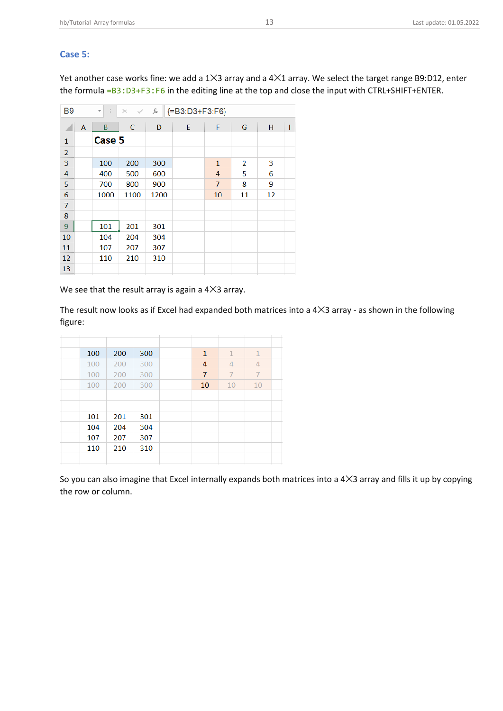#### <span id="page-13-0"></span>**Case 5:**

Yet another case works fine: we add a 1✕3 array and a 4✕1 array. We select the target range B9:D12, enter the formula =B3:D3+F3:F6 in the editing line at the top and close the input with CTRL+SHIFT+ENTER.

| <b>B9</b>      |   | ÷<br>$\overline{\mathbf{v}}$ | $\times$<br>$\checkmark$ | fx   | ${=}B3:D3+F3:F6$ |                |    |    |   |
|----------------|---|------------------------------|--------------------------|------|------------------|----------------|----|----|---|
| ◢              | A | B                            | C                        | D    | E                | F              | G  | н  | I |
| 1              |   | Case 5                       |                          |      |                  |                |    |    |   |
| $\overline{2}$ |   |                              |                          |      |                  |                |    |    |   |
| 3              |   | 100                          | 200                      | 300  |                  | $\mathbf{1}$   | 2  | 3  |   |
| 4              |   | 400                          | 500                      | 600  |                  | 4              | 5  | 6  |   |
| 5              |   | 700                          | 800                      | 900  |                  | $\overline{7}$ | 8  | 9  |   |
| 6              |   | 1000                         | 1100                     | 1200 |                  | 10             | 11 | 12 |   |
| $\overline{7}$ |   |                              |                          |      |                  |                |    |    |   |
| 8              |   |                              |                          |      |                  |                |    |    |   |
| 9              |   | 101                          | 201                      | 301  |                  |                |    |    |   |
| 10             |   | 104                          | 204                      | 304  |                  |                |    |    |   |
| 11             |   | 107                          | 207                      | 307  |                  |                |    |    |   |
| 12             |   | 110                          | 210                      | 310  |                  |                |    |    |   |
| 13             |   |                              |                          |      |                  |                |    |    |   |

We see that the result array is again a 4×3 array.

The result now looks as if Excel had expanded both matrices into a 4 X3 array - as shown in the following figure:

| 100 | 200 | 300 | 1  | $\mathbf{1}$   | $\mathbf{1}$   |  |
|-----|-----|-----|----|----------------|----------------|--|
| 100 | 200 | 300 | 4  | 4              | $\overline{4}$ |  |
| 100 | 200 | 300 | 7  | $\overline{1}$ | $\overline{7}$ |  |
| 100 | 200 | 300 | 10 | 10             | 10             |  |
|     |     |     |    |                |                |  |
|     |     |     |    |                |                |  |
| 101 | 201 | 301 |    |                |                |  |
| 104 | 204 | 304 |    |                |                |  |
| 107 | 207 | 307 |    |                |                |  |
| 110 | 210 | 310 |    |                |                |  |
|     |     |     |    |                |                |  |
|     |     |     |    |                |                |  |

So you can also imagine that Excel internally expands both matrices into a 4×3 array and fills it up by copying the row or column.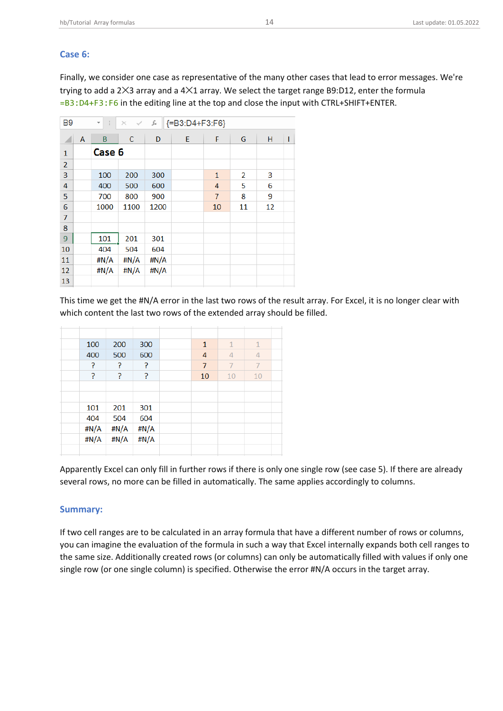#### <span id="page-14-0"></span>**Case 6:**

Finally, we consider one case as representative of the many other cases that lead to error messages. We're trying to add a  $2×3$  array and a  $4×1$  array. We select the target range B9:D12, enter the formula =B3:D4+F3:F6 in the editing line at the top and close the input with CTRL+SHIFT+ENTER.

| <b>B9</b>      |   | ÷<br>$\overline{\phantom{a}}$ | $\times$ $\checkmark$ | fx   | {=B3:D4+F3:F6} |                |    |    |   |
|----------------|---|-------------------------------|-----------------------|------|----------------|----------------|----|----|---|
| ◢              | A | B                             | C                     | D    | E              | F              | G  | н  | ı |
| $\mathbf{1}$   |   | Case 6                        |                       |      |                |                |    |    |   |
| $\overline{2}$ |   |                               |                       |      |                |                |    |    |   |
| 3              |   | 100                           | 200                   | 300  |                | $\mathbf{1}$   | 2  | 3  |   |
| 4              |   | 400                           | 500                   | 600  |                | 4              | 5  | 6  |   |
| 5              |   | 700                           | 800                   | 900  |                | $\overline{7}$ | 8  | 9  |   |
| 6              |   | 1000                          | 1100                  | 1200 |                | 10             | 11 | 12 |   |
| $\overline{7}$ |   |                               |                       |      |                |                |    |    |   |
| 8              |   |                               |                       |      |                |                |    |    |   |
| 9              |   | 101                           | 201                   | 301  |                |                |    |    |   |
| 10             |   | 404                           | 504                   | 604  |                |                |    |    |   |
| 11             |   | #N/A                          | #N/A                  | #N/A |                |                |    |    |   |
| 12             |   | #N/A                          | #N/A                  | #N/A |                |                |    |    |   |
| 13             |   |                               |                       |      |                |                |    |    |   |

This time we get the #N/A error in the last two rows of the result array. For Excel, it is no longer clear with which content the last two rows of the extended array should be filled.

|  | 100  | 200  | 300  | $\mathbf{1}$   | $\mathbf{1}$   | $\mathbf{1}$   |  |
|--|------|------|------|----------------|----------------|----------------|--|
|  | 400  | 500  | 600  | 4              | 4              | 4              |  |
|  | ?    | P    | P    | $\overline{7}$ | $\overline{7}$ | $\overline{7}$ |  |
|  | 5    | P    | P    | 10             | 10             | 10             |  |
|  |      |      |      |                |                |                |  |
|  |      |      |      |                |                |                |  |
|  | 101  | 201  | 301  |                |                |                |  |
|  | 404  | 504  | 604  |                |                |                |  |
|  | #N/A | #N/A | #N/A |                |                |                |  |
|  | #N/A | #N/A | #N/A |                |                |                |  |
|  |      |      |      |                |                |                |  |
|  |      |      |      |                |                |                |  |

Apparently Excel can only fill in further rows if there is only one single row (see case 5). If there are already several rows, no more can be filled in automatically. The same applies accordingly to columns.

#### <span id="page-14-1"></span>**Summary:**

If two cell ranges are to be calculated in an array formula that have a different number of rows or columns, you can imagine the evaluation of the formula in such a way that Excel internally expands both cell ranges to the same size. Additionally created rows (or columns) can only be automatically filled with values if only one single row (or one single column) is specified. Otherwise the error #N/A occurs in the target array.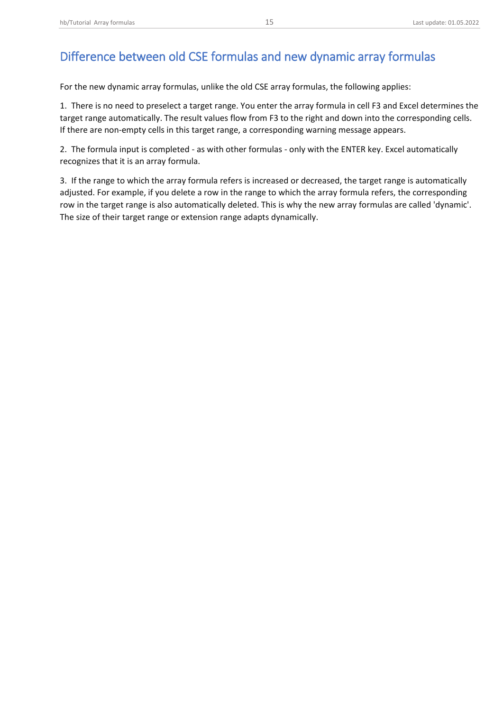# <span id="page-15-0"></span>Difference between old CSE formulas and new dynamic array formulas

For the new dynamic array formulas, unlike the old CSE array formulas, the following applies:

1. There is no need to preselect a target range. You enter the array formula in cell F3 and Excel determines the target range automatically. The result values flow from F3 to the right and down into the corresponding cells. If there are non-empty cells in this target range, a corresponding warning message appears.

2. The formula input is completed - as with other formulas - only with the ENTER key. Excel automatically recognizes that it is an array formula.

3. If the range to which the array formula refers is increased or decreased, the target range is automatically adjusted. For example, if you delete a row in the range to which the array formula refers, the corresponding row in the target range is also automatically deleted. This is why the new array formulas are called 'dynamic'. The size of their target range or extension range adapts dynamically.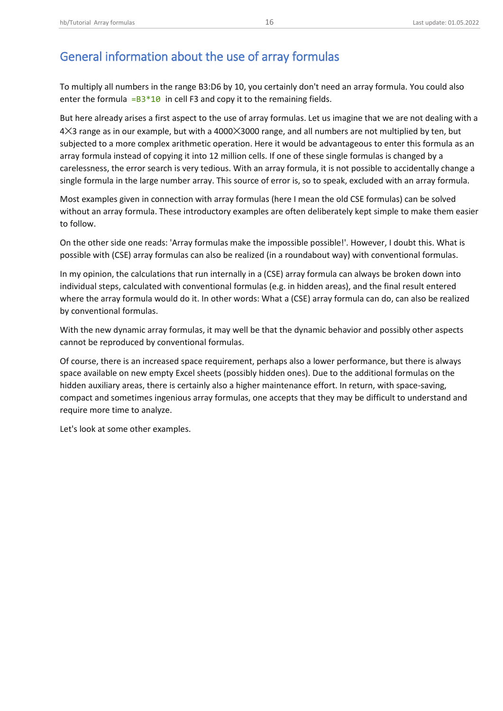# <span id="page-16-0"></span>General information about the use of array formulas

To multiply all numbers in the range B3:D6 by 10, you certainly don't need an array formula. You could also enter the formula  $=B3*10$  in cell F3 and copy it to the remaining fields.

But here already arises a first aspect to the use of array formulas. Let us imagine that we are not dealing with a 4✕3 range as in our example, but with a 4000✕3000 range, and all numbers are not multiplied by ten, but subjected to a more complex arithmetic operation. Here it would be advantageous to enter this formula as an array formula instead of copying it into 12 million cells. If one of these single formulas is changed by a carelessness, the error search is very tedious. With an array formula, it is not possible to accidentally change a single formula in the large number array. This source of error is, so to speak, excluded with an array formula.

Most examples given in connection with array formulas (here I mean the old CSE formulas) can be solved without an array formula. These introductory examples are often deliberately kept simple to make them easier to follow.

On the other side one reads: 'Array formulas make the impossible possible!'. However, I doubt this. What is possible with (CSE) array formulas can also be realized (in a roundabout way) with conventional formulas.

In my opinion, the calculations that run internally in a (CSE) array formula can always be broken down into individual steps, calculated with conventional formulas (e.g. in hidden areas), and the final result entered where the array formula would do it. In other words: What a (CSE) array formula can do, can also be realized by conventional formulas.

With the new dynamic array formulas, it may well be that the dynamic behavior and possibly other aspects cannot be reproduced by conventional formulas.

Of course, there is an increased space requirement, perhaps also a lower performance, but there is always space available on new empty Excel sheets (possibly hidden ones). Due to the additional formulas on the hidden auxiliary areas, there is certainly also a higher maintenance effort. In return, with space-saving, compact and sometimes ingenious array formulas, one accepts that they may be difficult to understand and require more time to analyze.

Let's look at some other examples.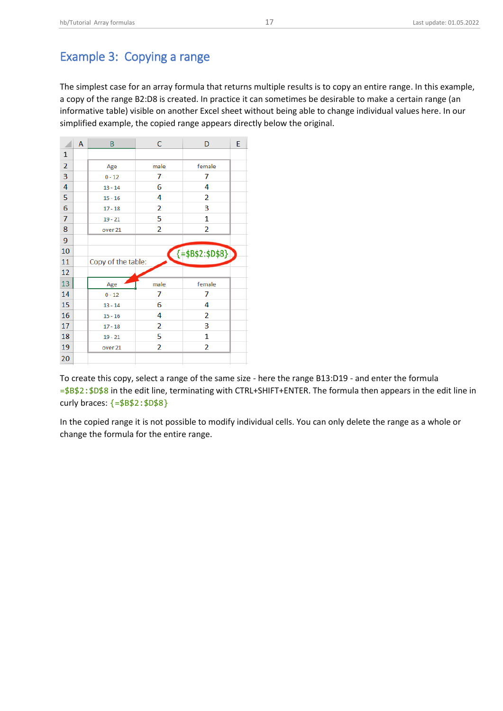## <span id="page-17-0"></span>Example 3: Copying a range

The simplest case for an array formula that returns multiple results is to copy an entire range. In this example, a copy of the range B2:D8 is created. In practice it can sometimes be desirable to make a certain range (an informative table) visible on another Excel sheet without being able to change individual values here. In our simplified example, the copied range appears directly below the original.

|                | A | B                  | C    | D                                           | E |
|----------------|---|--------------------|------|---------------------------------------------|---|
| $\mathbf{1}$   |   |                    |      |                                             |   |
| $\overline{2}$ |   | Age                | male | female                                      |   |
| 3              |   | $0 - 12$           | 7    | 7                                           |   |
| 4              |   | $13 - 14$          | 6    | 4                                           |   |
| 5              |   | $15 - 16$          | 4    | 2                                           |   |
| 6              |   | $17 - 18$          | 2    | 3                                           |   |
| $\overline{7}$ |   | $19 - 21$          | 5    | 1                                           |   |
| 8              |   | over 21            | 2    | 2                                           |   |
| 9              |   |                    |      |                                             |   |
| 10             |   |                    |      | $\left\{ = \frac{1}{2} 882 : 1088 \right\}$ |   |
| 11             |   | Copy of the table: |      |                                             |   |
| 12             |   |                    |      |                                             |   |
| 13             |   | Age                | male | female                                      |   |
| 14             |   | $0 - 12$           | 7    | 7                                           |   |
| 15             |   | $13 - 14$          | 6    | 4                                           |   |
| 16             |   | $15 - 16$          | 4    | 2                                           |   |
| 17             |   | $17 - 18$          | 2    | 3                                           |   |
| 18             |   | $19 - 21$          | 5    | 1                                           |   |
| 19             |   | over 21            | 2    | 2                                           |   |
| 20             |   |                    |      |                                             |   |

To create this copy, select a range of the same size - here the range B13:D19 - and enter the formula =\$B\$2:\$D\$8 in the edit line, terminating with CTRL+SHIFT+ENTER. The formula then appears in the edit line in curly braces: {=\$B\$2:\$D\$8}

In the copied range it is not possible to modify individual cells. You can only delete the range as a whole or change the formula for the entire range.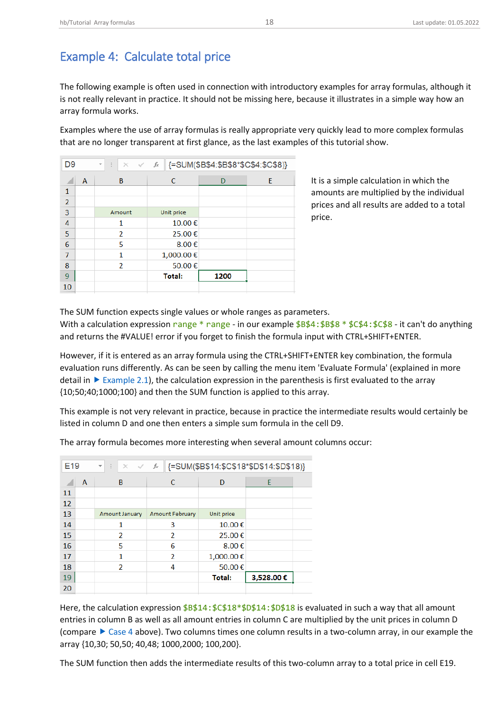<span id="page-18-0"></span>The following example is often used in connection with introductory examples for array formulas, although it is not really relevant in practice. It should not be missing here, because it illustrates in a simple way how an array formula works.

Examples where the use of array formulas is really appropriate very quickly lead to more complex formulas that are no longer transparent at first glance, as the last examples of this tutorial show.

| D <sub>9</sub> |   | ÷<br>$\times$ $\sim$<br>$\overline{\phantom{a}}$ | fx            | {=SUM(\$B\$4:\$B\$8*\$C\$4:\$C\$8)} |   |
|----------------|---|--------------------------------------------------|---------------|-------------------------------------|---|
|                | A | B                                                | C             | D                                   | E |
| $\mathbf{1}$   |   |                                                  |               |                                     |   |
| $\overline{2}$ |   |                                                  |               |                                     |   |
| 3              |   | Amount                                           | Unit price    |                                     |   |
| 4              |   | 1                                                | 10.00€        |                                     |   |
| 5              |   | $\overline{2}$                                   | 25.00€        |                                     |   |
| 6              |   | 5                                                | 8.00€         |                                     |   |
| 7              |   | 1                                                | 1,000.00€     |                                     |   |
| 8              |   | $\overline{\phantom{a}}$                         | 50.00€        |                                     |   |
| 9              |   |                                                  | <b>Total:</b> | 1200                                |   |
| 10             |   |                                                  |               |                                     |   |

It is a simple calculation in which the amounts are multiplied by the individual prices and all results are added to a total price.

The SUM function expects single values or whole ranges as parameters.

With a calculation expression range \* range - in our example  $$B$4: $B$8 * $C$4: $C$8 - it can't do anything$ and returns the #VALUE! error if you forget to finish the formula input with CTRL+SHIFT+ENTER.

However, if it is entered as an array formula using the CTRL+SHIFT+ENTER key combination, the formula evaluation runs differently. As can be seen by calling the menu item 'Evaluate Formula' (explained in more detail in  $\triangleright$  [Example 2.1\)](https://hermann-baum.de/excel/tutorial/array_formulas/#bsp2-1), the calculation expression in the parenthesis is first evaluated to the array {10;50;40;1000;100} and then the SUM function is applied to this array.

This example is not very relevant in practice, because in practice the intermediate results would certainly be listed in column D and one then enters a simple sum formula in the cell D9.

| E <sub>19</sub> |   | $\times$ $\checkmark$ fx<br>÷<br>$\overline{\mathbf{v}}$ |                        | {=SUM(\$B\$14:\$C\$18*\$D\$14:\$D\$18)} |           |  |
|-----------------|---|----------------------------------------------------------|------------------------|-----------------------------------------|-----------|--|
|                 | A | B                                                        | C                      | D                                       | E         |  |
| 11              |   |                                                          |                        |                                         |           |  |
| 12              |   |                                                          |                        |                                         |           |  |
| 13              |   | Amount January                                           | <b>Amount February</b> | Unit price                              |           |  |
| 14              |   | 1                                                        | 3                      | 10.00€                                  |           |  |
| 15              |   | $\mathfrak{p}$                                           | $\mathcal{P}$          | 25.00€                                  |           |  |
| 16              |   | 5                                                        | 6                      | 8.00€                                   |           |  |
| 17              |   | 1                                                        | $\mathcal{P}$          | 1,000.00€                               |           |  |
| 18              |   | $\mathcal{P}$                                            | 4                      | 50.00€                                  |           |  |
| 19              |   |                                                          |                        | <b>Total:</b>                           | 3,528.00€ |  |
| 20              |   |                                                          |                        |                                         |           |  |

The array formula becomes more interesting when several amount columns occur:

Here, the calculation expression  $$B$14: $C$18*$D$14: $D$14: $D$18 is evaluated in such a way that all amount$ entries in column B as well as all amount entries in column C are multiplied by the unit prices in column D (compare  $\triangleright$  [Case 4](https://hermann-baum.de/excel/tutorial/array_formulas/#case4) above). Two columns times one column results in a two-column array, in our example the array {10,30; 50,50; 40,48; 1000,2000; 100,200}.

The SUM function then adds the intermediate results of this two-column array to a total price in cell E19.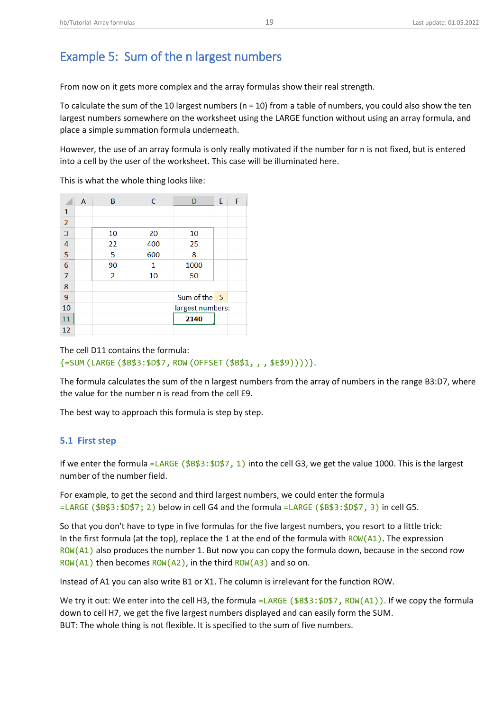# <span id="page-19-0"></span>Example 5: Sum of the n largest numbers

From now on it gets more complex and the array formulas show their real strength.

To calculate the sum of the 10 largest numbers (n = 10) from a table of numbers, you could also show the ten largest numbers somewhere on the worksheet using the LARGE function without using an array formula, and place a simple summation formula underneath.

However, the use of an array formula is only really motivated if the number for n is not fixed, but is entered into a cell by the user of the worksheet. This case will be illuminated here.

This is what the whole thing looks like:

|                | A | B  | C   | D                | E | F |
|----------------|---|----|-----|------------------|---|---|
| 1              |   |    |     |                  |   |   |
| $\overline{2}$ |   |    |     |                  |   |   |
| 3              |   | 10 | 20  | 10               |   |   |
| 4              |   | 22 | 400 | 25               |   |   |
| $\overline{5}$ |   | 5  | 600 | 8                |   |   |
| $\overline{6}$ |   | 90 | 1   | 1000             |   |   |
| $\overline{7}$ |   | 2  | 10  | 50               |   |   |
| 8              |   |    |     |                  |   |   |
| 9              |   |    |     | Sum of the 5     |   |   |
| 10             |   |    |     | largest numbers: |   |   |
| 11             |   |    |     | 2140             |   |   |
| 12             |   |    |     |                  |   |   |

The cell D11 contains the formula: {=SUM (LARGE (\$B\$3:\$D\$7, ROW (OFFSET (\$B\$1, , , \$E\$9))))}.

The formula calculates the sum of the n largest numbers from the array of numbers in the range B3:D7, where the value for the number n is read from the cell E9.

The best way to approach this formula is step by step.

#### <span id="page-19-1"></span>**5.1 First step**

If we enter the formula =LARGE ( $$B$3:\$D$7, 1)$  into the cell G3, we get the value 1000. This is the largest number of the number field.

For example, to get the second and third largest numbers, we could enter the formula =LARGE (\$B\$3:\$D\$7; 2) below in cell G4 and the formula =LARGE (\$B\$3:\$D\$7, 3) in cell G5.

So that you don't have to type in five formulas for the five largest numbers, you resort to a little trick: In the first formula (at the top), replace the 1 at the end of the formula with  $ROW(A1)$ . The expression ROW(A1) also produces the number 1. But now you can copy the formula down, because in the second row ROW(A1) then becomes ROW(A2), in the third  $ROW(A3)$  and so on.

Instead of A1 you can also write B1 or X1. The column is irrelevant for the function ROW.

We try it out: We enter into the cell H3, the formula =  $LARGE$  ( $$B$3: $D$7$ ,  $Row(A1)$ ). If we copy the formula down to cell H7, we get the five largest numbers displayed and can easily form the SUM. BUT: The whole thing is not flexible. It is specified to the sum of five numbers.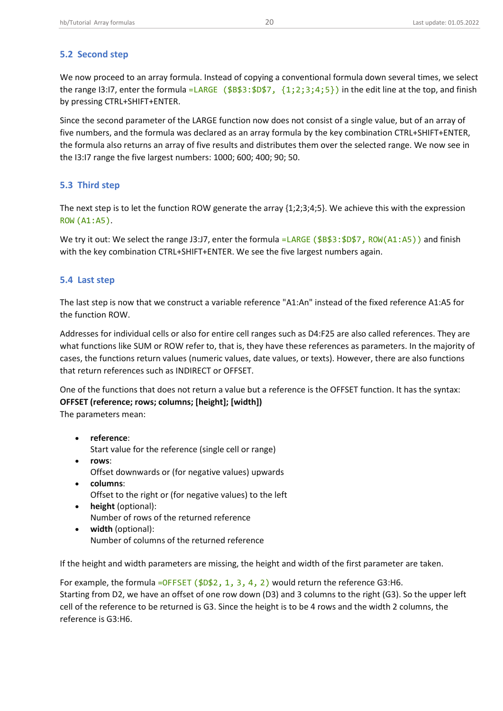## <span id="page-20-0"></span>**5.2 Second step**

We now proceed to an array formula. Instead of copying a conventional formula down several times, we select the range I3:I7, enter the formula =LARGE  $(\$B$3:\$D$7, \{1;2;3;4;5\})$  in the edit line at the top, and finish by pressing CTRL+SHIFT+ENTER.

Since the second parameter of the LARGE function now does not consist of a single value, but of an array of five numbers, and the formula was declared as an array formula by the key combination CTRL+SHIFT+ENTER, the formula also returns an array of five results and distributes them over the selected range. We now see in the I3:I7 range the five largest numbers: 1000; 600; 400; 90; 50.

#### <span id="page-20-1"></span>**5.3 Third step**

The next step is to let the function ROW generate the array {1;2;3;4;5}. We achieve this with the expression ROW (A1:A5).

We try it out: We select the range J3:J7, enter the formula =LARGE (\$B\$3:\$D\$7, ROW(A1:A5)) and finish with the key combination CTRL+SHIFT+ENTER. We see the five largest numbers again.

#### <span id="page-20-2"></span>**5.4 Last step**

The last step is now that we construct a variable reference "A1:An" instead of the fixed reference A1:A5 for the function ROW.

Addresses for individual cells or also for entire cell ranges such as D4:F25 are also called references. They are what functions like SUM or ROW refer to, that is, they have these references as parameters. In the majority of cases, the functions return values (numeric values, date values, or texts). However, there are also functions that return references such as INDIRECT or OFFSET.

One of the functions that does not return a value but a reference is the OFFSET function. It has the syntax: **OFFSET (reference; rows; columns; [height]; [width])**

The parameters mean:

- **reference**: Start value for the reference (single cell or range)
- **rows**: Offset downwards or (for negative values) upwards
- **columns**: Offset to the right or (for negative values) to the left
- **height** (optional): Number of rows of the returned reference
- **width** (optional): Number of columns of the returned reference

If the height and width parameters are missing, the height and width of the first parameter are taken.

For example, the formula = $OFFSET$  ( $$D$2, 1, 3, 4, 2$ ) would return the reference G3:H6. Starting from D2, we have an offset of one row down (D3) and 3 columns to the right (G3). So the upper left cell of the reference to be returned is G3. Since the height is to be 4 rows and the width 2 columns, the reference is G3:H6.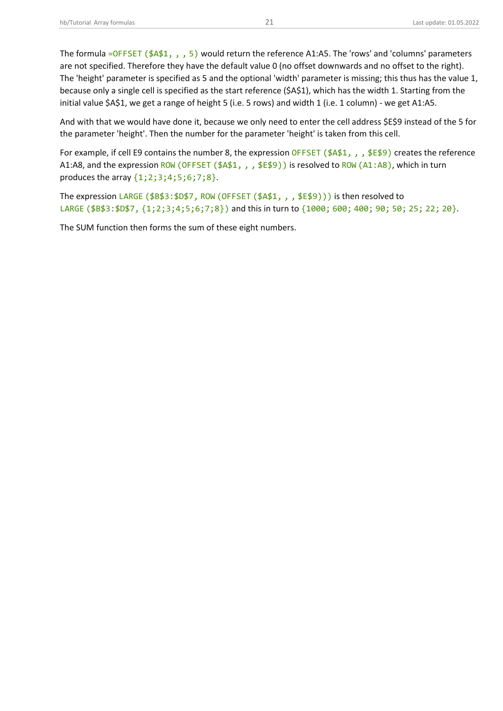The formula =OFFSET (\$A\$1, , , 5) would return the reference A1:A5. The 'rows' and 'columns' parameters are not specified. Therefore they have the default value 0 (no offset downwards and no offset to the right). The 'height' parameter is specified as 5 and the optional 'width' parameter is missing; this thus has the value 1, because only a single cell is specified as the start reference (\$A\$1), which has the width 1. Starting from the initial value \$A\$1, we get a range of height 5 (i.e. 5 rows) and width 1 (i.e. 1 column) - we get A1:A5.

And with that we would have done it, because we only need to enter the cell address \$E\$9 instead of the 5 for the parameter 'height'. Then the number for the parameter 'height' is taken from this cell.

For example, if cell E9 contains the number 8, the expression OFFSET ( $$441, , $459$ ) creates the reference A1:A8, and the expression ROW (OFFSET (\$A\$1, , , \$E\$9)) is resolved to ROW (A1:A8), which in turn produces the array {1;2;3;4;5;6;7;8}.

The expression LARGE (\$B\$3:\$D\$7, ROW (OFFSET (\$A\$1, , , \$E\$9))) is then resolved to LARGE (\$B\$3:\$D\$7, {1;2;3;4;5;6;7;8}) and this in turn to {1000; 600; 400; 90; 50; 25; 22; 20}.

The SUM function then forms the sum of these eight numbers.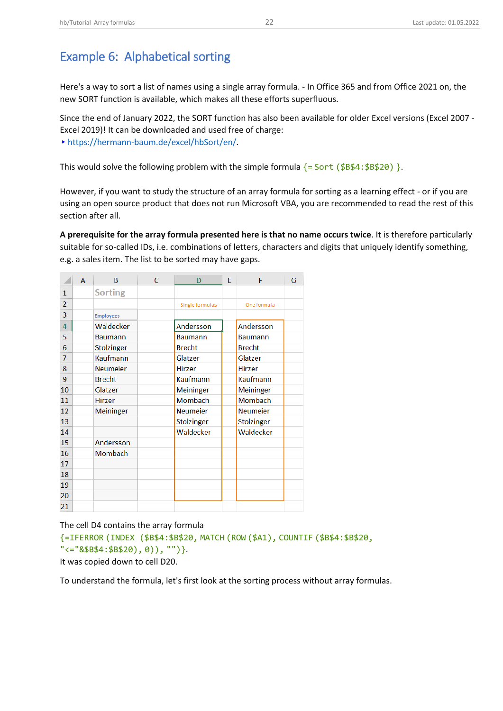<span id="page-22-0"></span>Here's a way to sort a list of names using a single array formula. - In Office 365 and from Office 2021 on, the new SORT function is available, which makes all these efforts superfluous.

Since the end of January 2022, the SORT function has also been available for older Excel versions (Excel 2007 - Excel 2019)! It can be downloaded and used free of charge: ▸[https://hermann-baum.de/excel/hbSort/en/.](https://hermann-baum.de/excel/hbSort/en/)

This would solve the following problem with the simple formula  $\{=\text{Sort } (\$B$4:\$B$20) \}.$ 

However, if you want to study the structure of an array formula for sorting as a learning effect - or if you are using an open source product that does not run Microsoft VBA, you are recommended to read the rest of this section after all.

**A prerequisite for the array formula presented here is that no name occurs twice**. It is therefore particularly suitable for so-called IDs, i.e. combinations of letters, characters and digits that uniquely identify something, e.g. a sales item. The list to be sorted may have gaps.

|                | A | B                | C. | D               | F | F               | G |
|----------------|---|------------------|----|-----------------|---|-----------------|---|
| 1              |   | <b>Sorting</b>   |    |                 |   |                 |   |
| $\overline{2}$ |   |                  |    | Single formulas |   | One formula     |   |
| 3              |   | <b>Employees</b> |    |                 |   |                 |   |
| $\overline{4}$ |   | Waldecker        |    | Andersson       |   | Andersson       |   |
| 5              |   | <b>Baumann</b>   |    | <b>Baumann</b>  |   | <b>Baumann</b>  |   |
| 6              |   | Stolzinger       |    | <b>Brecht</b>   |   | <b>Brecht</b>   |   |
| $\overline{7}$ |   | Kaufmann         |    | Glatzer         |   | Glatzer         |   |
| 8              |   | <b>Neumeier</b>  |    | <b>Hirzer</b>   |   | <b>Hirzer</b>   |   |
| 9              |   | <b>Brecht</b>    |    | Kaufmann        |   | Kaufmann        |   |
| 10             |   | Glatzer          |    | Meininger       |   | Meininger       |   |
| 11             |   | Hirzer           |    | Mombach         |   | Mombach         |   |
| 12             |   | Meininger        |    | <b>Neumeier</b> |   | <b>Neumeier</b> |   |
| 13             |   |                  |    | Stolzinger      |   | Stolzinger      |   |
| 14             |   |                  |    | Waldecker       |   | Waldecker       |   |
| 15             |   | Andersson        |    |                 |   |                 |   |
| 16             |   | Mombach          |    |                 |   |                 |   |
| 17             |   |                  |    |                 |   |                 |   |
| 18             |   |                  |    |                 |   |                 |   |
| 19             |   |                  |    |                 |   |                 |   |
| 20             |   |                  |    |                 |   |                 |   |
| 21             |   |                  |    |                 |   |                 |   |

The cell D4 contains the array formula

```
{=IFERROR (INDEX ($B$4:$B$20, MATCH (ROW ($A1), COUNTIF ($B$4:$B$20,
"<="&$B$4:$B$20), 0)), "")}.
```
It was copied down to cell D20.

To understand the formula, let's first look at the sorting process without array formulas.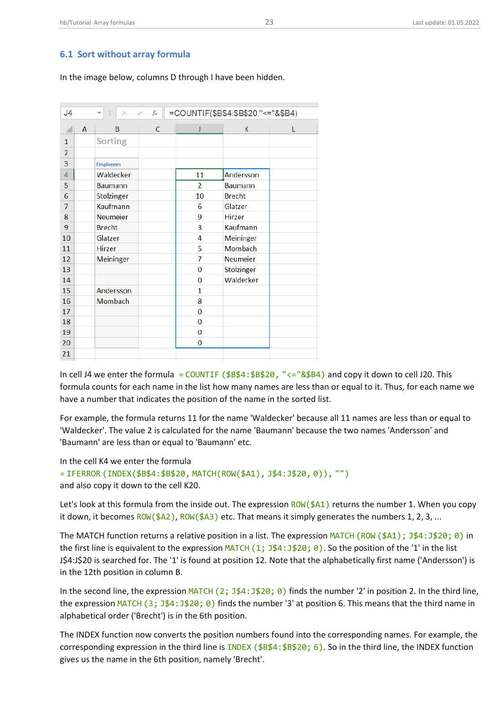## <span id="page-23-0"></span>**6.1 Sort without array formula**

In the image below, columns D through I have been hidden.

| J <sub>4</sub> |                | =COUNTIF(\$B\$4:\$B\$20,"<="&\$B4)<br>$f_x$<br>÷<br>$\times$<br>$\checkmark$<br>$\overline{\phantom{a}}$ |   |                |                 |   |
|----------------|----------------|----------------------------------------------------------------------------------------------------------|---|----------------|-----------------|---|
|                | $\overline{A}$ | B                                                                                                        | C | J              | К               | L |
| 1              |                | <b>Sorting</b>                                                                                           |   |                |                 |   |
| $\overline{2}$ |                |                                                                                                          |   |                |                 |   |
| 3              |                | <b>Employees</b>                                                                                         |   |                |                 |   |
| 4              |                | Waldecker                                                                                                |   | 11             | Andersson       |   |
| 5              |                | <b>Baumann</b>                                                                                           |   | $\overline{2}$ | <b>Baumann</b>  |   |
| 6              |                | Stolzinger                                                                                               |   | 10             | <b>Brecht</b>   |   |
| $\overline{7}$ |                | Kaufmann                                                                                                 |   | 6              | Glatzer         |   |
| 8              |                | <b>Neumeier</b>                                                                                          |   | 9              | <b>Hirzer</b>   |   |
| 9              |                | <b>Brecht</b>                                                                                            |   | 3              | Kaufmann        |   |
| 10             |                | Glatzer                                                                                                  |   | 4              | Meininger       |   |
| 11             |                | Hirzer                                                                                                   |   | 5              | Mombach         |   |
| 12             |                | Meininger                                                                                                |   | $\overline{7}$ | <b>Neumeier</b> |   |
| 13             |                |                                                                                                          |   | 0              | Stolzinger      |   |
| 14             |                |                                                                                                          |   | 0              | Waldecker       |   |
| 15             |                | Andersson                                                                                                |   | $\mathbf{1}$   |                 |   |
| 16             |                | Mombach                                                                                                  |   | 8              |                 |   |
| 17             |                |                                                                                                          |   | 0              |                 |   |
| 18             |                |                                                                                                          |   | 0              |                 |   |
| 19             |                |                                                                                                          |   | 0              |                 |   |
| 20             |                |                                                                                                          |   | 0              |                 |   |
| 21             |                |                                                                                                          |   |                |                 |   |

In cell J4 we enter the formula = COUNTIF ( $$B$4$ ;  $$B$20$ , "<=" $\&$B4$ ) and copy it down to cell J20. This formula counts for each name in the list how many names are less than or equal to it. Thus, for each name we have a number that indicates the position of the name in the sorted list.

For example, the formula returns 11 for the name 'Waldecker' because all 11 names are less than or equal to 'Waldecker'. The value 2 is calculated for the name 'Baumann' because the two names 'Andersson' and 'Baumann' are less than or equal to 'Baumann' etc.

In the cell K4 we enter the formula

= IFERROR (INDEX(\$B\$4:\$B\$20, MATCH(ROW(\$A1), J\$4:J\$20, 0)), "") and also copy it down to the cell K20.

Let's look at this formula from the inside out. The expression  $ROW(1/2)$  returns the number 1. When you copy it down, it becomes  $ROW(\frac{2}{4}A2)$ ,  $ROW(\frac{2}{4}A3)$  etc. That means it simply generates the numbers 1, 2, 3, ...

The MATCH function returns a relative position in a list. The expression MATCH (ROW (\$A1);  $J$4:J$20; 0$ ) in the first line is equivalent to the expression MATCH  $(1; 34:320; 0)$ . So the position of the '1' in the list J\$4:J\$20 is searched for. The '1' is found at position 12. Note that the alphabetically first name ('Andersson') is in the 12th position in column B.

In the second line, the expression MATCH (2;  $J\frac{4}{3}$ :  $J\frac{4}{3}$ : 0) finds the number '2' in position 2. In the third line, the expression MATCH (3; J\$4:J\$20; 0) finds the number '3' at position 6. This means that the third name in alphabetical order ('Brecht') is in the 6th position.

The INDEX function now converts the position numbers found into the corresponding names. For example, the corresponding expression in the third line is INDEX ( $$B$4:\$B$20; 6$ ). So in the third line, the INDEX function gives us the name in the 6th position, namely 'Brecht'.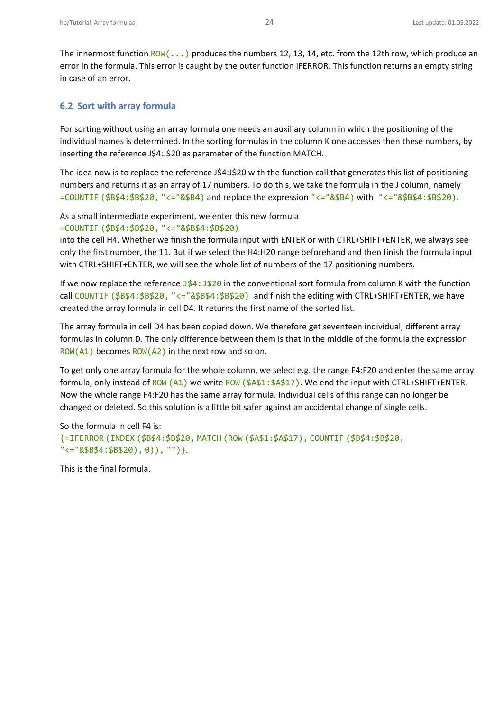The innermost function  $\frac{ROW(...)}{P}$  produces the numbers 12, 13, 14, etc. from the 12th row, which produce an error in the formula. This error is caught by the outer function IFERROR. This function returns an empty string in case of an error.

## <span id="page-24-0"></span>**6.2 Sort with array formula**

For sorting without using an array formula one needs an auxiliary column in which the positioning of the individual names is determined. In the sorting formulas in the column K one accesses then these numbers, by inserting the reference J\$4:J\$20 as parameter of the function MATCH.

The idea now is to replace the reference J\$4:J\$20 with the function call that generates this list of positioning numbers and returns it as an array of 17 numbers. To do this, we take the formula in the J column, namely  $=$  COUNTIF (\$B\$4:\$B\$20, "<="&\$B4) and replace the expression "<="&\$B4) with "<="&\$B\$4:\$B\$20).

As a small intermediate experiment, we enter this new formula

=COUNTIF (\$B\$4:\$B\$20, "<="&\$B\$4:\$B\$20)

into the cell H4. Whether we finish the formula input with ENTER or with CTRL+SHIFT+ENTER, we always see only the first number, the 11. But if we select the H4:H20 range beforehand and then finish the formula input with CTRL+SHIFT+ENTER, we will see the whole list of numbers of the 17 positioning numbers.

If we now replace the reference  $J\frac{4}{4}$ :  $J\frac{4}{8}20$  in the conventional sort formula from column K with the function call COUNTIF (\$B\$4:\$B\$20, "<="&\$B\$4:\$B\$20) and finish the editing with CTRL+SHIFT+ENTER, we have created the array formula in cell D4. It returns the first name of the sorted list.

The array formula in cell D4 has been copied down. We therefore get seventeen individual, different array formulas in column D. The only difference between them is that in the middle of the formula the expression  $ROW(A1)$  becomes  $ROW(A2)$  in the next row and so on.

To get only one array formula for the whole column, we select e.g. the range F4:F20 and enter the same array formula, only instead of ROW (A1) we write ROW (\$A\$1:\$A\$17). We end the input with CTRL+SHIFT+ENTER. Now the whole range F4:F20 has the same array formula. Individual cells of this range can no longer be changed or deleted. So this solution is a little bit safer against an accidental change of single cells.

So the formula in cell F4 is: {=IFERROR (INDEX (\$B\$4:\$B\$20, MATCH (ROW (\$A\$1:\$A\$17), COUNTIF (\$B\$4:\$B\$20, "<="&\$B\$4:\$B\$20), 0)), "")}.

This is the final formula.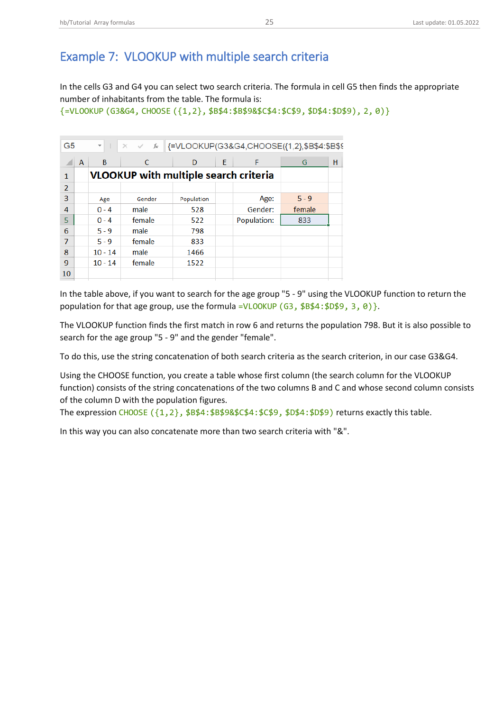## <span id="page-25-0"></span>Example 7: VLOOKUP with multiple search criteria

In the cells G3 and G4 you can select two search criteria. The formula in cell G5 then finds the appropriate number of inhabitants from the table. The formula is:

{=VLOOKUP (G3&G4, CHOOSE ({1,2}, \$B\$4:\$B\$9&\$C\$4:\$C\$9, \$D\$4:\$D\$9), 2, 0)}

| G <sub>5</sub> |   | $\overline{\phantom{a}}$                     | $f_x$<br>$\times$ $\checkmark$ | {=VLOOKUP(G3&G4,CHOOSE({1,2},\$B\$4:\$B\$9 |   |             |         |   |
|----------------|---|----------------------------------------------|--------------------------------|--------------------------------------------|---|-------------|---------|---|
|                | A | B                                            | C                              | D                                          | E | F           | G       | н |
| 1              |   | <b>VLOOKUP with multiple search criteria</b> |                                |                                            |   |             |         |   |
| $\overline{2}$ |   |                                              |                                |                                            |   |             |         |   |
| 3              |   | Age                                          | Gender                         | Population                                 |   | Age:        | $5 - 9$ |   |
| 4              |   | $0 - 4$                                      | male                           | 528                                        |   | Gender:     | female  |   |
| 5              |   | $0 - 4$                                      | female                         | 522                                        |   | Population: | 833     |   |
| 6              |   | $5 - 9$                                      | male                           | 798                                        |   |             |         |   |
| 7              |   | $5 - 9$                                      | female                         | 833                                        |   |             |         |   |
| 8              |   | $10 - 14$                                    | male                           | 1466                                       |   |             |         |   |
| 9              |   | $10 - 14$                                    | female                         | 1522                                       |   |             |         |   |
| 10             |   |                                              |                                |                                            |   |             |         |   |

In the table above, if you want to search for the age group "5 - 9" using the VLOOKUP function to return the population for that age group, use the formula =VLOOKUP (G3, \$B\$4:\$D\$9, 3, 0) }.

The VLOOKUP function finds the first match in row 6 and returns the population 798. But it is also possible to search for the age group "5 - 9" and the gender "female".

To do this, use the string concatenation of both search criteria as the search criterion, in our case G3&G4.

Using the CHOOSE function, you create a table whose first column (the search column for the VLOOKUP function) consists of the string concatenations of the two columns B and C and whose second column consists of the column D with the population figures.

The expression CHOOSE  $({1,2},$  \$B\$4: \$B\$9&\$C\$4: \$C\$9, \$D\$4: \$D\$9) returns exactly this table.

In this way you can also concatenate more than two search criteria with "&".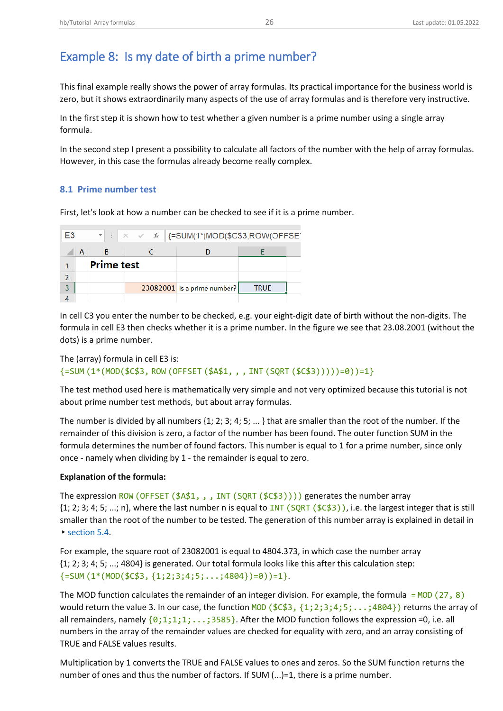# <span id="page-26-0"></span>Example 8: Is my date of birth a prime number?

This final example really shows the power of array formulas. Its practical importance for the business world is zero, but it shows extraordinarily many aspects of the use of array formulas and is therefore very instructive.

In the first step it is shown how to test whether a given number is a prime number using a single array formula.

In the second step I present a possibility to calculate all factors of the number with the help of array formulas. However, in this case the formulas already become really complex.

## <span id="page-26-1"></span>**8.1 Prime number test**

First, let's look at how a number can be checked to see if it is a prime number.

| E3 |                   | $\mathbb{R}$ $\mathbb{R}$ $\mathbb{R}$ $\mathbb{R}$ $\mathbb{R}$ $\mathbb{R}$ =SUM(1*(MOD(\$C\$3,ROW(OFFSE) |                             |             |  |
|----|-------------------|-------------------------------------------------------------------------------------------------------------|-----------------------------|-------------|--|
|    | в                 |                                                                                                             |                             |             |  |
|    | <b>Prime test</b> |                                                                                                             |                             |             |  |
|    |                   |                                                                                                             |                             |             |  |
| 3  |                   |                                                                                                             | 23082001 is a prime number? | <b>TRUE</b> |  |
|    |                   |                                                                                                             |                             |             |  |

In cell C3 you enter the number to be checked, e.g. your eight-digit date of birth without the non-digits. The formula in cell E3 then checks whether it is a prime number. In the figure we see that 23.08.2001 (without the dots) is a prime number.

```
The (array) formula in cell E3 is:
\{=\text{SUM}(1*(MOD($\text{SC$3},\text{ROW}() \text{OFFSET}($A$1, , , , INT(SQRT($\text{CC$3})))\})=0\})=1\}
```
The test method used here is mathematically very simple and not very optimized because this tutorial is not about prime number test methods, but about array formulas.

The number is divided by all numbers {1; 2; 3; 4; 5; ... } that are smaller than the root of the number. If the remainder of this division is zero, a factor of the number has been found. The outer function SUM in the formula determines the number of found factors. This number is equal to 1 for a prime number, since only once - namely when dividing by 1 - the remainder is equal to zero.

#### **Explanation of the formula:**

The expression ROW (OFFSET (\$A\$1,,,,INT (SQRT (\$C\$3)))) generates the number array  $\{1; 2; 3; 4; 5; \ldots\}$ , where the last number n is equal to INT (SQRT (\$C\$3)), i.e. the largest integer that is still smaller than the root of the number to be tested. The generation of this number array is explained in detail in ▸[section 5.4.](#page-20-2)

For example, the square root of 23082001 is equal to 4804.373, in which case the number array {1; 2; 3; 4; 5; ...; 4804} is generated. Our total formula looks like this after this calculation step:  ${=}$ SUM  $(1*(MOD($C$3, {1;2;3;4;5;...;4804})=0)=1$ .

The MOD function calculates the remainder of an integer division. For example, the formula =  $MOD (27, 8)$ would return the value 3. In our case, the function MOD ( $$C$3, {1;2;3;4;5;...;4804}$ ) returns the array of all remainders, namely  $\{0,1,1,1,\ldots,3585\}$ . After the MOD function follows the expression =0, i.e. all numbers in the array of the remainder values are checked for equality with zero, and an array consisting of TRUE and FALSE values results.

Multiplication by 1 converts the TRUE and FALSE values to ones and zeros. So the SUM function returns the number of ones and thus the number of factors. If SUM (...)=1, there is a prime number.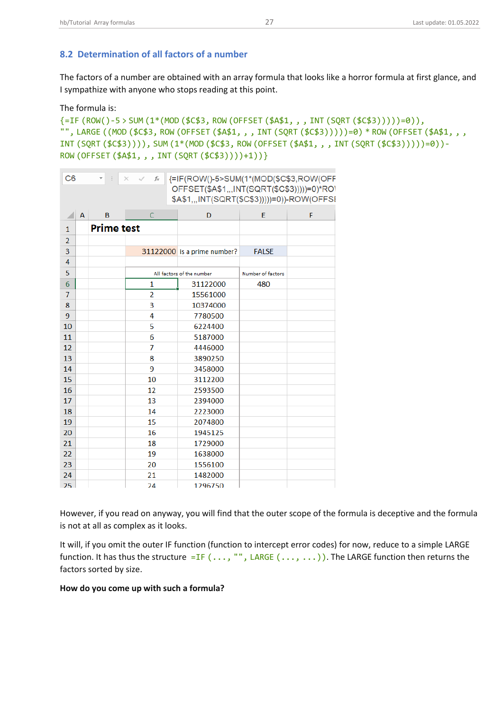## <span id="page-27-0"></span>**8.2 Determination of all factors of a number**

The factors of a number are obtained with an array formula that looks like a horror formula at first glance, and I sympathize with anyone who stops reading at this point.

The formula is:

```
{=IF (ROW()-5 > SUM (1*(MOD ($C$3, ROW (OFFSET ($A$1, , , INT (SQRT ($C$3)))))=0)),
"", LARGE ((MOD ($C$3, ROW (OFFSET ($A$1, , , INT (SQRT ($C$3)))))=0) * ROW (OFFSET ($A$1, , ,
INT (SQRT ($C$3)))), SUM (1*(MOD ($C$3, ROW (OFFSET ($A$1, , , INT (SQRT ($C$3)))))=0))-
ROW (OFFSET ($A$1, , , INT (SQRT ($C$3))))+1))}
```

| C <sub>6</sub> | {=IF(ROW()-5>SUM(1*(MOD(\$C\$3,ROW(OFF<br>$\checkmark$<br>fx<br>$\times$ |                   |                |                                             |                   |   |
|----------------|--------------------------------------------------------------------------|-------------------|----------------|---------------------------------------------|-------------------|---|
|                |                                                                          |                   |                | OFFSET(\$A\$1,,,INT(SQRT(\$C\$3)))))=0)*RO\ |                   |   |
|                |                                                                          |                   |                | \$A\$1,,,INT(SQRT(\$C\$3)))))=0))-ROW(OFFSI |                   |   |
|                | A                                                                        | B                 | $\overline{C}$ | D                                           | F                 | F |
| $\mathbf{1}$   |                                                                          | <b>Prime test</b> |                |                                             |                   |   |
| $\overline{2}$ |                                                                          |                   |                |                                             |                   |   |
| 3              |                                                                          |                   |                | 31122000 is a prime number?                 | <b>FALSE</b>      |   |
| 4              |                                                                          |                   |                |                                             |                   |   |
| 5              |                                                                          |                   |                | All factors of the number                   | Number of factors |   |
| 6              |                                                                          |                   | 1              | 31122000                                    | 480               |   |
| 7              |                                                                          |                   | $\overline{2}$ | 15561000                                    |                   |   |
| 8              |                                                                          |                   | 3              | 10374000                                    |                   |   |
| 9              |                                                                          |                   | 4              | 7780500                                     |                   |   |
| 10             |                                                                          |                   | 5              | 6224400                                     |                   |   |
| 11             |                                                                          |                   | 6              | 5187000                                     |                   |   |
| 12             |                                                                          |                   | 7              | 4446000                                     |                   |   |
| 13             |                                                                          |                   | 8              | 3890250                                     |                   |   |
| 14             |                                                                          |                   | 9              | 3458000                                     |                   |   |
| 15             |                                                                          |                   | 10             | 3112200                                     |                   |   |
| 16             |                                                                          |                   | 12             | 2593500                                     |                   |   |
| 17             |                                                                          |                   | 13             | 2394000                                     |                   |   |
| 18             |                                                                          |                   | 14             | 2223000                                     |                   |   |
| 19             |                                                                          |                   | 15             | 2074800                                     |                   |   |
| 20             |                                                                          |                   | 16             | 1945125                                     |                   |   |
| 21             |                                                                          |                   | 18             | 1729000                                     |                   |   |
| 22             |                                                                          |                   | 19             | 1638000                                     |                   |   |
| 23             |                                                                          |                   | 20             | 1556100                                     |                   |   |
| 24             |                                                                          |                   | 21             | 1482000                                     |                   |   |
| 25             |                                                                          |                   | 24             | 1296750                                     |                   |   |

However, if you read on anyway, you will find that the outer scope of the formula is deceptive and the formula is not at all as complex as it looks.

It will, if you omit the outer IF function (function to intercept error codes) for now, reduce to a simple LARGE function. It has thus the structure =IF  $(...,''$ , LARGE  $(..., ...)$ ). The LARGE function then returns the factors sorted by size.

#### **How do you come up with such a formula?**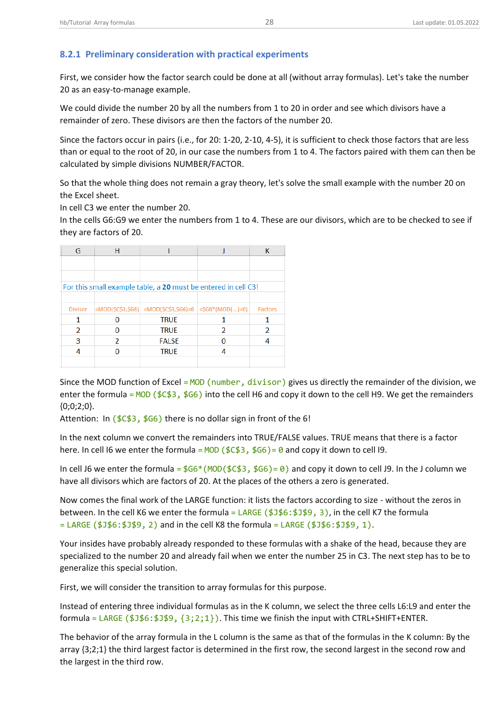## <span id="page-28-0"></span>**8.2.1 Preliminary consideration with practical experiments**

First, we consider how the factor search could be done at all (without array formulas). Let's take the number 20 as an easy-to-manage example.

We could divide the number 20 by all the numbers from 1 to 20 in order and see which divisors have a remainder of zero. These divisors are then the factors of the number 20.

Since the factors occur in pairs (i.e., for 20: 1-20, 2-10, 4-5), it is sufficient to check those factors that are less than or equal to the root of 20, in our case the numbers from 1 to 4. The factors paired with them can then be calculated by simple divisions NUMBER/FACTOR.

So that the whole thing does not remain a gray theory, let's solve the small example with the number 20 on the Excel sheet.

In cell C3 we enter the number 20.

In the cells G6:G9 we enter the numbers from 1 to 4. These are our divisors, which are to be checked to see if they are factors of 20.

|   |              |   | Factors                                                                                                                                                                                 |
|---|--------------|---|-----------------------------------------------------------------------------------------------------------------------------------------------------------------------------------------|
|   | <b>TRUE</b>  |   |                                                                                                                                                                                         |
|   | <b>TRUE</b>  | 2 |                                                                                                                                                                                         |
| 2 | <b>FALSE</b> |   |                                                                                                                                                                                         |
|   | <b>TRUE</b>  |   |                                                                                                                                                                                         |
|   |              |   |                                                                                                                                                                                         |
|   |              |   | For this small example table, a 20 must be entered in cell C3!<br>$ \text{=MOD}(\text{$\$C$3},\text{$\$G6}]  = \text{MOD}(\text{$\$C$3},\text{$\$G6}] = 0   = \text{$\$G6*(MOD()=0]}  $ |

Since the MOD function of Excel = MOD (number, divisor) gives us directly the remainder of the division, we enter the formula =  $MOD$  (\$C\$3, \$G6) into the cell H6 and copy it down to the cell H9. We get the remainders  ${0;0;2;0}.$ 

Attention: In  $(\$C$3, \$G6)$  there is no dollar sign in front of the 6!

In the next column we convert the remainders into TRUE/FALSE values. TRUE means that there is a factor here. In cell I6 we enter the formula =  $MOD$  (\$C\$3, \$G6) = 0 and copy it down to cell I9.

In cell J6 we enter the formula =  $$66*(MOD ($\xi\&3, $66) = 0)$  and copy it down to cell J9. In the J column we have all divisors which are factors of 20. At the places of the others a zero is generated.

Now comes the final work of the LARGE function: it lists the factors according to size - without the zeros in between. In the cell K6 we enter the formula =  $LARGE$  ( $$J$6: $J$9, 3)$ , in the cell K7 the formula  $=$  LARGE (\$J\$6:\$J\$9, 2) and in the cell K8 the formula = LARGE (\$J\$6:\$J\$9, 1).

Your insides have probably already responded to these formulas with a shake of the head, because they are specialized to the number 20 and already fail when we enter the number 25 in C3. The next step has to be to generalize this special solution.

First, we will consider the transition to array formulas for this purpose.

Instead of entering three individual formulas as in the K column, we select the three cells L6:L9 and enter the formula = LARGE ( $$J$6: $J$9, {3:2:1}$ ). This time we finish the input with CTRL+SHIFT+ENTER.

The behavior of the array formula in the L column is the same as that of the formulas in the K column: By the array {3;2;1} the third largest factor is determined in the first row, the second largest in the second row and the largest in the third row.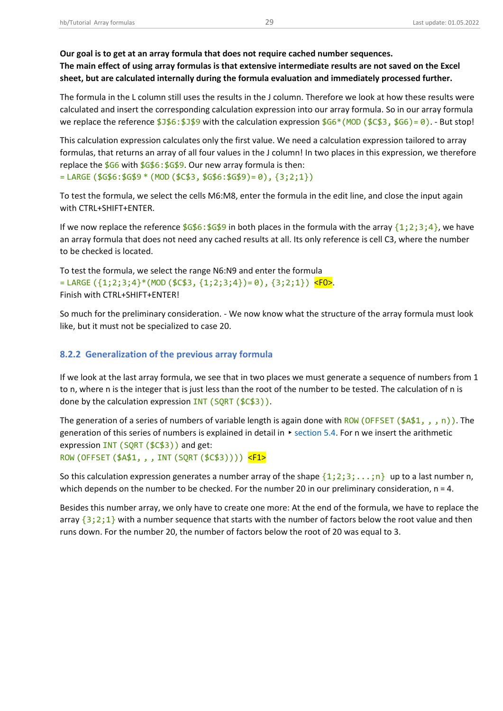**sheet, but are calculated internally during the formula evaluation and immediately processed further.** 

The formula in the L column still uses the results in the J column. Therefore we look at how these results were calculated and insert the corresponding calculation expression into our array formula. So in our array formula we replace the reference  $$J$6: $J$9$  with the calculation expression  $$66*(MOD ($\zeta$3, $66)=0)$ . - But stop!

This calculation expression calculates only the first value. We need a calculation expression tailored to array formulas, that returns an array of all four values in the J column! In two places in this expression, we therefore replace the  $$66$  with  $$6$6$ :  $$6$9$ . Our new array formula is then:  $=$  LARGE (\$G\$6:\$G\$9  $*$  (MOD (\$C\$3, \$G\$6:\$G\$9)= 0), {3;2;1})

To test the formula, we select the cells M6:M8, enter the formula in the edit line, and close the input again with CTRL+SHIFT+ENTER.

If we now replace the reference  $$G$6: $G$9$  in both places in the formula with the array  ${1:2:3:4}$ , we have an array formula that does not need any cached results at all. Its only reference is cell C3, where the number to be checked is located.

To test the formula, we select the range N6:N9 and enter the formula  $=$  LARGE ({1;2;3;4}\*(MOD (\$C\$3, {1;2;3;4})= 0), {3;2;1}) <FO>. Finish with CTRL+SHIFT+ENTER!

So much for the preliminary consideration. - We now know what the structure of the array formula must look like, but it must not be specialized to case 20.

## <span id="page-29-0"></span>**8.2.2 Generalization of the previous array formula**

If we look at the last array formula, we see that in two places we must generate a sequence of numbers from 1 to n, where n is the integer that is just less than the root of the number to be tested. The calculation of n is done by the calculation expression INT (SQRT (\$C\$3)).

The generation of a series of numbers of variable length is again done with ROW (OFFSET (\$A\$1,,,n)). The generation of this series of numbers is explained in detail in ▸[section 5.4.](#page-20-2) For n we insert the arithmetic expression INT (SQRT (\$C\$3)) and get: ROW (OFFSET (\$A\$1, , , INT (SQRT (\$C\$3)))) <F1>

So this calculation expression generates a number array of the shape  $\{1;2;3;\ldots;n\}$  up to a last number n, which depends on the number to be checked. For the number 20 in our preliminary consideration,  $n = 4$ .

Besides this number array, we only have to create one more: At the end of the formula, we have to replace the array  $\{3;2;1\}$  with a number sequence that starts with the number of factors below the root value and then runs down. For the number 20, the number of factors below the root of 20 was equal to 3.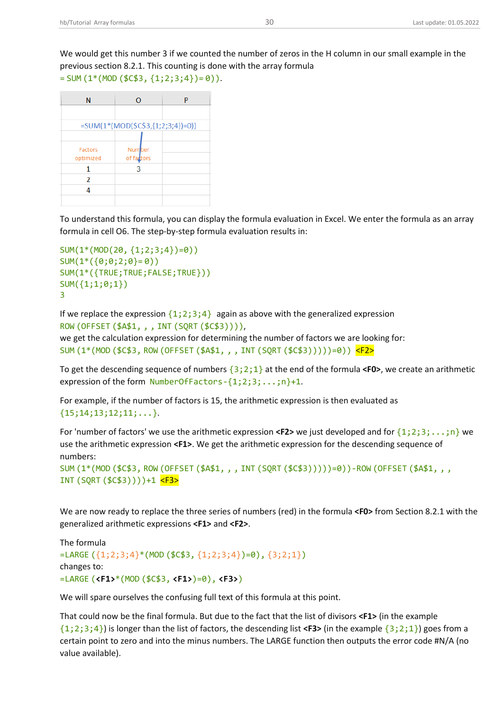| N         | O                                 | P |
|-----------|-----------------------------------|---|
|           |                                   |   |
|           | =SUM(1*(MOD(\$C\$3,{1;2;3;4})=0)) |   |
|           |                                   |   |
| Factors   | <b>Number</b>                     |   |
| optimized | of factors                        |   |
|           |                                   |   |
| 2         |                                   |   |
|           |                                   |   |
|           |                                   |   |

To understand this formula, you can display the formula evaluation in Excel. We enter the formula as an array formula in cell O6. The step-by-step formula evaluation results in:

```
SUM(1*(MOD(20, {1;2;3;4})=0))
SUM(1*(0;0;2;0)=0))SUM(1*({TRUE;TRUE;FALSE;TRUE}))
SUM({1;1;0;1})
3
```
If we replace the expression  $\{1;2;3;4\}$  again as above with the generalized expression ROW (OFFSET (\$A\$1, , , INT (SQRT (\$C\$3)))),

we get the calculation expression for determining the number of factors we are looking for: SUM (1\*(MOD (\$C\$3, ROW (OFFSET (\$A\$1, , , INT (SQRT (\$C\$3)))))=0)) <F2>

To get the descending sequence of numbers {3;2;1} at the end of the formula **<F0>**, we create an arithmetic expression of the form NumberOfFactors-{1;2;3;...;n}+1.

For example, if the number of factors is 15, the arithmetic expression is then evaluated as  $\{15;14;13;12;11;\ldots\}$ .

For 'number of factors' we use the arithmetic expression **<F2>** we just developed and for {1;2;3;...;n} we use the arithmetic expression **<F1>**. We get the arithmetic expression for the descending sequence of numbers:

```
SUM (1*(MOD ($C$3, ROW (OFFSET ($A$1, , , INT (SQRT ($C$3)))))=0))-ROW (OFFSET ($A$1, , ,
INT (SQRT ($C$3))))+1 <F3>
```
We are now ready to replace the three series of numbers (red) in the formula **<F0>** from Section 8.2.1 with the generalized arithmetic expressions **<F1>** and **<F2>**.

```
The formula
=LARGE ({1;2;3;4}*(MOD ($C$3, {1;2;3;4})=0), {3;2;1})
changes to:
=LARGE (<F1>*(MOD ($C$3, <F1>)=0), <F3>)
```
We will spare ourselves the confusing full text of this formula at this point.

That could now be the final formula. But due to the fact that the list of divisors **<F1>** (in the example {1;2;3;4}) is longer than the list of factors, the descending list **<F3>** (in the example {3;2;1}) goes from a certain point to zero and into the minus numbers. The LARGE function then outputs the error code #N/A (no value available).